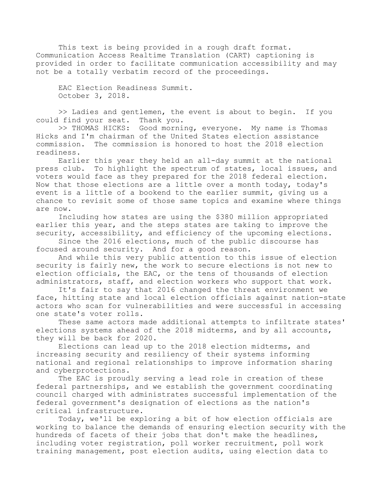This text is being provided in a rough draft format. Communication Access Realtime Translation (CART) captioning is provided in order to facilitate communication accessibility and may not be a totally verbatim record of the proceedings.

EAC Election Readiness Summit. October 3, 2018.

>> Ladies and gentlemen, the event is about to begin. If you could find your seat. Thank you.

>> THOMAS HICKS: Good morning, everyone. My name is Thomas Hicks and I'm chairman of the United States election assistance commission. The commission is honored to host the 2018 election readiness.

Earlier this year they held an all-day summit at the national press club. To highlight the spectrum of states, local issues, and voters would face as they prepared for the 2018 federal election. Now that those elections are a little over a month today, today's event is a little of a bookend to the earlier summit, giving us a chance to revisit some of those same topics and examine where things are now.

Including how states are using the \$380 million appropriated earlier this year, and the steps states are taking to improve the security, accessibility, and efficiency of the upcoming elections.

Since the 2016 elections, much of the public discourse has focused around security. And for a good reason.

And while this very public attention to this issue of election security is fairly new, the work to secure elections is not new to election officials, the EAC, or the tens of thousands of election administrators, staff, and election workers who support that work.

It's fair to say that 2016 changed the threat environment we face, hitting state and local election officials against nation-state actors who scan for vulnerabilities and were successful in accessing one state's voter rolls.

These same actors made additional attempts to infiltrate states' elections systems ahead of the 2018 midterms, and by all accounts, they will be back for 2020.

Elections can lead up to the 2018 election midterms, and increasing security and resiliency of their systems informing national and regional relationships to improve information sharing and cyberprotections.

The EAC is proudly serving a lead role in creation of these federal partnerships, and we establish the government coordinating council charged with administrates successful implementation of the federal government's designation of elections as the nation's critical infrastructure.

Today, we'll be exploring a bit of how election officials are working to balance the demands of ensuring election security with the hundreds of facets of their jobs that don't make the headlines, including voter registration, poll worker recruitment, poll work training management, post election audits, using election data to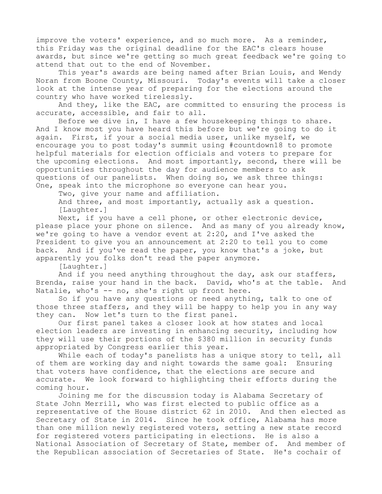improve the voters' experience, and so much more. As a reminder, this Friday was the original deadline for the EAC's clears house awards, but since we're getting so much great feedback we're going to attend that out to the end of November.

This year's awards are being named after Brian Louis, and Wendy Noran from Boone County, Missouri. Today's events will take a closer look at the intense year of preparing for the elections around the country who have worked tirelessly.

And they, like the EAC, are committed to ensuring the process is accurate, accessible, and fair to all.

Before we dive in, I have a few housekeeping things to share. And I know most you have heard this before but we're going to do it again. First, if your a social media user, unlike myself, we encourage you to post today's summit using #countdown18 to promote helpful materials for election officials and voters to prepare for the upcoming elections. And most importantly, second, there will be opportunities throughout the day for audience members to ask questions of our panelists. When doing so, we ask three things: One, speak into the microphone so everyone can hear you.

Two, give your name and affiliation.

And three, and most importantly, actually ask a question. [Laughter.]

Next, if you have a cell phone, or other electronic device, please place your phone on silence. And as many of you already know, we're going to have a vendor event at 2:20, and I've asked the President to give you an announcement at 2:20 to tell you to come back. And if you've read the paper, you know that's a joke, but apparently you folks don't read the paper anymore.

[Laughter.]

And if you need anything throughout the day, ask our staffers, Brenda, raise your hand in the back. David, who's at the table. And Natalie, who's -- no, she's right up front here.

So if you have any questions or need anything, talk to one of those three staffers, and they will be happy to help you in any way they can. Now let's turn to the first panel.

Our first panel takes a closer look at how states and local election leaders are investing in enhancing security, including how they will use their portions of the \$380 million in security funds appropriated by Congress earlier this year.

While each of today's panelists has a unique story to tell, all of them are working day and night towards the same goal: Ensuring that voters have confidence, that the elections are secure and accurate. We look forward to highlighting their efforts during the coming hour.

Joining me for the discussion today is Alabama Secretary of State John Merrill, who was first elected to public office as a representative of the House district 62 in 2010. And then elected as Secretary of State in 2014. Since he took office, Alabama has more than one million newly registered voters, setting a new state record for registered voters participating in elections. He is also a National Association of Secretary of State, member of. And member of the Republican association of Secretaries of State. He's cochair of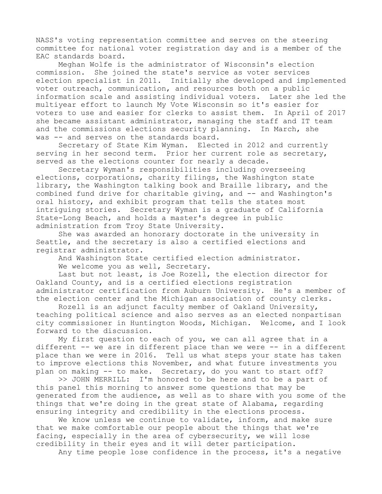NASS's voting representation committee and serves on the steering committee for national voter registration day and is a member of the EAC standards board.

Meghan Wolfe is the administrator of Wisconsin's election commission. She joined the state's service as voter services election specialist in 2011. Initially she developed and implemented voter outreach, communication, and resources both on a public information scale and assisting individual voters. Later she led the multiyear effort to launch My Vote Wisconsin so it's easier for voters to use and easier for clerks to assist them. In April of 2017 she became assistant administrator, managing the staff and IT team and the commissions elections security planning. In March, she was -- and serves on the standards board.

Secretary of State Kim Wyman. Elected in 2012 and currently serving in her second term. Prior her current role as secretary, served as the elections counter for nearly a decade.

Secretary Wyman's responsibilities including overseeing elections, corporations, charity filings, the Washington state library, the Washington talking book and Braille library, and the combined fund drive for charitable giving, and -- and Washington's oral history, and exhibit program that tells the states most intriguing stories. Secretary Wyman is a graduate of California State-Long Beach, and holds a master's degree in public administration from Troy State University.

She was awarded an honorary doctorate in the university in Seattle, and the secretary is also a certified elections and registrar administrator.

And Washington State certified election administrator.

We welcome you as well, Secretary.

Last but not least, is Joe Rozell, the election director for Oakland County, and is a certified elections registration administrator certification from Auburn University. He's a member of the election center and the Michigan association of county clerks.

Rozell is an adjunct faculty member of Oakland University, teaching political science and also serves as an elected nonpartisan city commissioner in Huntington Woods, Michigan. Welcome, and I look forward to the discussion.

My first question to each of you, we can all agree that in a different -- we are in different place than we were -- in a different place than we were in 2016. Tell us what steps your state has taken to improve elections this November, and what future investments you plan on making -- to make. Secretary, do you want to start off?

>> JOHN MERRILL: I'm honored to be here and to be a part of this panel this morning to answer some questions that may be generated from the audience, as well as to share with you some of the things that we're doing in the great state of Alabama, regarding ensuring integrity and credibility in the elections process.

We know unless we continue to validate, inform, and make sure that we make comfortable our people about the things that we're facing, especially in the area of cybersecurity, we will lose credibility in their eyes and it will deter participation.

Any time people lose confidence in the process, it's a negative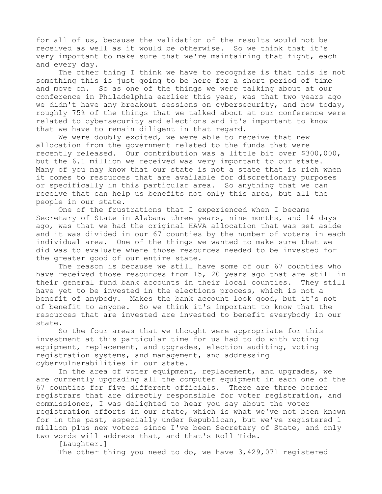for all of us, because the validation of the results would not be received as well as it would be otherwise. So we think that it's very important to make sure that we're maintaining that fight, each and every day.

The other thing I think we have to recognize is that this is not something this is just going to be here for a short period of time and move on. So as one of the things we were talking about at our conference in Philadelphia earlier this year, was that two years ago we didn't have any breakout sessions on cybersecurity, and now today, roughly 75% of the things that we talked about at our conference were related to cybersecurity and elections and it's important to know that we have to remain diligent in that regard.

We were doubly excited, we were able to receive that new allocation from the government related to the funds that were recently released. Our contribution was a little bit over \$300,000, but the 6.1 million we received was very important to our state. Many of you nay know that our state is not a state that is rich when it comes to resources that are available for discretionary purposes or specifically in this particular area. So anything that we can receive that can help us benefits not only this area, but all the people in our state.

One of the frustrations that I experienced when I became Secretary of State in Alabama three years, nine months, and 14 days ago, was that we had the original HAVA allocation that was set aside and it was divided in our 67 counties by the number of voters in each individual area. One of the things we wanted to make sure that we did was to evaluate where those resources needed to be invested for the greater good of our entire state.

The reason is because we still have some of our 67 counties who have received those resources from 15, 20 years ago that are still in their general fund bank accounts in their local counties. They still have yet to be invested in the elections process, which is not a benefit of anybody. Makes the bank account look good, but it's not of benefit to anyone. So we think it's important to know that the resources that are invested are invested to benefit everybody in our state.

So the four areas that we thought were appropriate for this investment at this particular time for us had to do with voting equipment, replacement, and upgrades, election auditing, voting registration systems, and management, and addressing cybervulnerabilities in our state.

In the area of voter equipment, replacement, and upgrades, we are currently upgrading all the computer equipment in each one of the 67 counties for five different officials. There are three border registrars that are directly responsible for voter registration, and commissioner, I was delighted to hear you say about the voter registration efforts in our state, which is what we've not been known for in the past, especially under Republican, but we've registered 1 million plus new voters since I've been Secretary of State, and only two words will address that, and that's Roll Tide.

[Laughter.] The other thing you need to do, we have 3,429,071 registered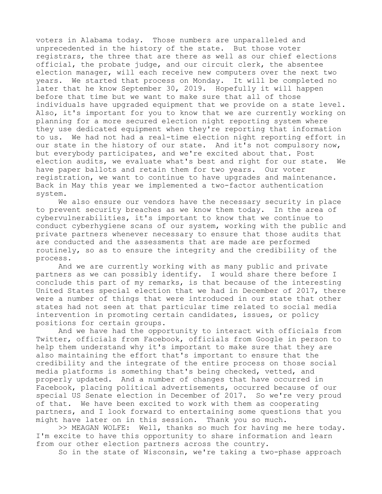voters in Alabama today. Those numbers are unparalleled and unprecedented in the history of the state. But those voter registrars, the three that are there as well as our chief elections official, the probate judge, and our circuit clerk, the absentee election manager, will each receive new computers over the next two years. We started that process on Monday. It will be completed no later that he know September 30, 2019. Hopefully it will happen before that time but we want to make sure that all of those individuals have upgraded equipment that we provide on a state level. Also, it's important for you to know that we are currently working on planning for a more secured election night reporting system where they use dedicated equipment when they're reporting that information to us. We had not had a real-time election night reporting effort in our state in the history of our state. And it's not compulsory now, but everybody participates, and we're excited about that. Post election audits, we evaluate what's best and right for our state. We have paper ballots and retain them for two years. Our voter registration, we want to continue to have upgrades and maintenance. Back in May this year we implemented a two-factor authentication system.

We also ensure our vendors have the necessary security in place to prevent security breaches as we know them today. In the area of cybervulnerabilities, it's important to know that we continue to conduct cyberhygiene scans of our system, working with the public and private partners whenever necessary to ensure that those audits that are conducted and the assessments that are made are performed routinely, so as to ensure the integrity and the credibility of the process.

And we are currently working with as many public and private partners as we can possibly identify. I would share there before I conclude this part of my remarks, is that because of the interesting United States special election that we had in December of 2017, there were a number of things that were introduced in our state that other states had not seen at that particular time related to social media intervention in promoting certain candidates, issues, or policy positions for certain groups.

And we have had the opportunity to interact with officials from Twitter, officials from Facebook, officials from Google in person to help them understand why it's important to make sure that they are also maintaining the effort that's important to ensure that the credibility and the integrate of the entire process on those social media platforms is something that's being checked, vetted, and properly updated. And a number of changes that have occurred in Facebook, placing political advertisements, occurred because of our special US Senate election in December of 2017. So we're very proud of that. We have been excited to work with them as cooperating partners, and I look forward to entertaining some questions that you might have later on in this session. Thank you so much.

>> MEAGAN WOLFE: Well, thanks so much for having me here today. I'm excite to have this opportunity to share information and learn from our other election partners across the country.

So in the state of Wisconsin, we're taking a two-phase approach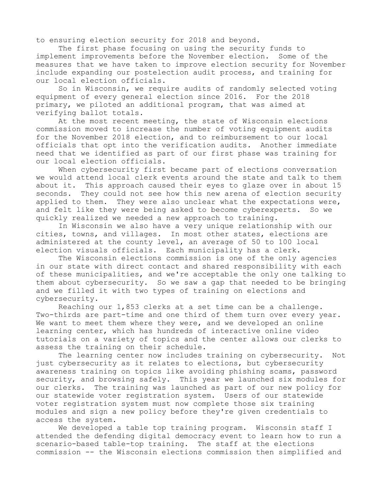to ensuring election security for 2018 and beyond.

The first phase focusing on using the security funds to implement improvements before the November election. Some of the measures that we have taken to improve election security for November include expanding our postelection audit process, and training for our local election officials.

So in Wisconsin, we require audits of randomly selected voting equipment of every general election since 2016. For the 2018 primary, we piloted an additional program, that was aimed at verifying ballot totals.

At the most recent meeting, the state of Wisconsin elections commission moved to increase the number of voting equipment audits for the November 2018 election, and to reimbursement to our local officials that opt into the verification audits. Another immediate need that we identified as part of our first phase was training for our local election officials.

When cybersecurity first became part of elections conversation we would attend local clerk events around the state and talk to them about it. This approach caused their eyes to glaze over in about 15 seconds. They could not see how this new arena of election security applied to them. They were also unclear what the expectations were, and felt like they were being asked to become cyberexperts. So we quickly realized we needed a new approach to training.

In Wisconsin we also have a very unique relationship with our cities, towns, and villages. In most other states, elections are administered at the county level, an average of 50 to 100 local election visuals officials. Each municipality has a clerk.

The Wisconsin elections commission is one of the only agencies in our state with direct contact and shared responsibility with each of these municipalities, and we're acceptable the only one talking to them about cybersecurity. So we saw a gap that needed to be bringing and we filled it with two types of training on elections and cybersecurity.

Reaching our 1,853 clerks at a set time can be a challenge. Two-thirds are part-time and one third of them turn over every year. We want to meet them where they were, and we developed an online learning center, which has hundreds of interactive online video tutorials on a variety of topics and the center allows our clerks to assess the training on their schedule.

The learning center now includes training on cybersecurity. Not just cybersecurity as it relates to elections, but cybersecurity awareness training on topics like avoiding phishing scams, password security, and browsing safely. This year we launched six modules for our clerks. The training was launched as part of our new policy for our statewide voter registration system. Users of our statewide voter registration system must now complete those six training modules and sign a new policy before they're given credentials to access the system.

We developed a table top training program. Wisconsin staff I attended the defending digital democracy event to learn how to run a scenario-based table-top training. The staff at the elections commission -- the Wisconsin elections commission then simplified and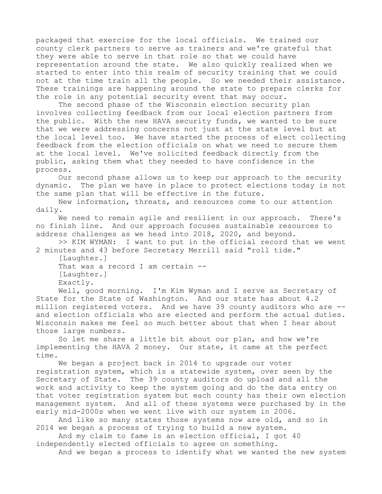packaged that exercise for the local officials. We trained our county clerk partners to serve as trainers and we're grateful that they were able to serve in that role so that we could have representation around the state. We also quickly realized when we started to enter into this realm of security training that we could not at the time train all the people. So we needed their assistance. These trainings are happening around the state to prepare clerks for the role in any potential security event that may occur.

The second phase of the Wisconsin election security plan involves collecting feedback from our local election partners from the public. With the new HAVA security funds, we wanted to be sure that we were addressing concerns not just at the state level but at the local level too. We have started the process of elect collecting feedback from the election officials on what we need to secure them at the local level. We've solicited feedback directly from the public, asking them what they needed to have confidence in the process.

Our second phase allows us to keep our approach to the security dynamic. The plan we have in place to protect elections today is not the same plan that will be effective in the future.

New information, threats, and resources come to our attention daily.

We need to remain agile and resilient in our approach. There's no finish line. And our approach focuses sustainable resources to address challenges as we head into 2018, 2020, and beyond.

>> KIM WYMAN: I want to put in the official record that we went 2 minutes and 43 before Secretary Merrill said "roll tide."

[Laughter.]

That was a record I am certain --

[Laughter.]

Exactly.

Well, good morning. I'm Kim Wyman and I serve as Secretary of State for the State of Washington. And our state has about 4.2 million registered voters. And we have 39 county auditors who are - and election officials who are elected and perform the actual duties. Wisconsin makes me feel so much better about that when I hear about those large numbers.

So let me share a little bit about our plan, and how we're implementing the HAVA 2 money. Our state, it came at the perfect time.

We began a project back in 2014 to upgrade our voter registration system, which is a statewide system, over seen by the Secretary of State. The 39 county auditors do upload and all the work and activity to keep the system going and do the data entry on that voter registration system but each county has their own election management system. And all of these systems were purchased by in the early mid-2000s when we went live with our system in 2006.

And like so many states those systems now are old, and so in 2014 we began a process of trying to build a new system.

And my claim to fame is an election official, I got 40 independently elected officials to agree on something.

And we began a process to identify what we wanted the new system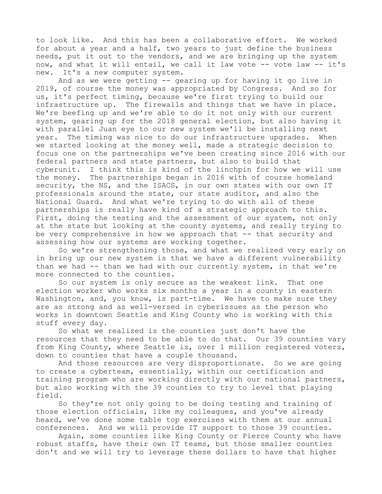to look like. And this has been a collaborative effort. We worked for about a year and a half, two years to just define the business needs, put it out to the vendors, and we are bringing up the system now, and what it will entail, we call it law vote -- vote law -- it's new. It's a new computer system.

And as we were getting -- gearing up for having it go live in 2019, of course the money was appropriated by Congress. And so for us, it's perfect timing, because we're first trying to build our infrastructure up. The firewalls and things that we have in place. We're beefing up and we're able to do it not only with our current system, gearing up for the 2018 general election, but also having it with parallel Juan eye to our new system we'll be installing next year. The timing was nice to do our infrastructure upgrades. When we started looking at the money well, made a strategic decision to focus one on the partnerships we've been creating since 2016 with our federal partners and state partners, but also to build that cyberunit. I think this is kind of the linchpin for how we will use the money. The partnerships began in 2016 with of course homeland security, the NS, and the ISACS, in our own states with our own IT professionals around the state, our state auditor, and also the National Guard. And what we're trying to do with all of these partnerships is really have kind of a strategic approach to this. First, doing the testing and the assessment of our system, not only at the state but looking at the county systems, and really trying to be very comprehensive in how we approach that  $-$ - that security and assessing how our systems are working together.

So we're strengthening those, and what we realized very early on in bring up our new system is that we have a different vulnerability than we had -- than we had with our currently system, in that we're more connected to the counties.

So our system is only secure as the weakest link. That one election worker who works six months a year in a county in eastern Washington, and, you know, is part-time. We have to make sure they are as strong and as well-versed in cyberissues as the person who works in downtown Seattle and King County who is working with this stuff every day.

So what we realized is the counties just don't have the resources that they need to be able to do that. Our 39 counties vary from King County, where Seattle is, over 1 million registered voters, down to counties that have a couple thousand.

And those resources are very disproportionate. So we are going to create a cyberteam, essentially, within our certification and training program who are working directly with our national partners, but also working with the 39 counties to try to level that playing field.

So they're not only going to be doing testing and training of those election officials, like my colleagues, and you've already heard, we've done some table top exercises with them at our annual conferences. And we will provide IT support to those 39 counties.

Again, some counties like King County or Pierce County who have robust staffs, have their own IT teams, but those smaller counties don't and we will try to leverage these dollars to have that higher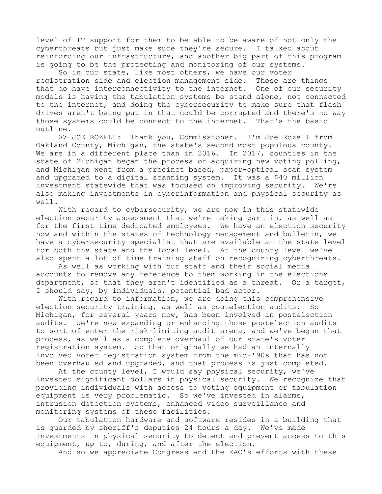level of IT support for them to be able to be aware of not only the cyberthreats but just make sure they're secure. I talked about reinforcing our infrastructure, and another big part of this program is going to be the protecting and monitoring of our systems.

So in our state, like most others, we have our voter registration side and election management side. Those are things that do have interconnectivity to the internet. One of our security models is having the tabulation systems be stand alone, not connected to the internet, and doing the cybersecurity to make sure that flash drives aren't being put in that could be corrupted and there's no way those systems could be connect to the internet. That's the basic outline.

>> JOE ROZELL: Thank you, Commissioner. I'm Joe Rozell from Oakland County, Michigan, the state's second most populous county. We are in a different place than in 2016. In 2017, counties in the state of Michigan began the process of acquiring new voting polling, and Michigan went from a precinct based, paper-optical scan system and upgraded to a digital scanning system. It was a \$40 million investment statewide that was focused on improving security. We're also making investments in cyberinformation and physical security as well.

With regard to cybersecurity, we are now in this statewide election security assessment that we're taking part in, as well as for the first time dedicated employees. We have an election security now and within the states of technology management and bulletin, we have a cybersecurity specialist that are available at the state level for both the state and the local level. At the county level we've also spent a lot of time training staff on recognizing cyberthreats.

As well as working with our staff and their social media accounts to remove any reference to them working in the elections department, so that they aren't identified as a threat. Or a target, I should say, by individuals, potential bad actor.

With regard to information, we are doing this comprehensive election security training, as well as postelection audits. So Michigan, for several years now, has been involved in postelection audits. We're now expanding or enhancing those postelection audits to sort of enter the risk-limiting audit arena, and we've begun that process, as well as a complete overhaul of our state's voter registration system. So that originally we had an internally involved voter registration system from the mid-'90s that has not been overhauled and upgraded, and that process is just completed.

At the county level, I would say physical security, we've invested significant dollars in physical security. We recognize that providing individuals with access to voting equipment or tabulation equipment is very problematic. So we've invested in alarms, intrusion detection systems, enhanced video surveillance and monitoring systems of these facilities.

Our tabulation hardware and software resides in a building that is guarded by sheriff's deputies 24 hours a day. We've made investments in physical security to detect and prevent access to this equipment, up to, during, and after the election.

And so we appreciate Congress and the EAC's efforts with these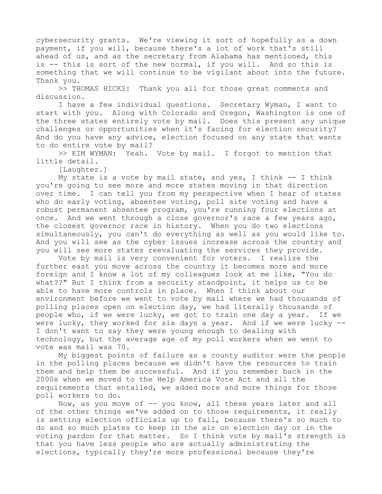cybersecurity grants. We're viewing it sort of hopefully as a down payment, if you will, because there's a lot of work that's still ahead of us, and as the secretary from Alabama has mentioned, this is -- this is sort of the new normal, if you will. And so this is something that we will continue to be vigilant about into the future. Thank you.

>> THOMAS HICKS: Thank you all for those great comments and discussion.

I have a few individual questions. Secretary Wyman, I want to start with you. Along with Colorado and Oregon, Washington is one of the three states entirely vote by mail. Does this present any unique challenges or opportunities when it's facing for election security? And do you have any advice, election focused on any state that wants to do entire vote by mail?

>> KIM WYMAN: Yeah. Vote by mail. I forgot to mention that little detail.

[Laughter.]

My state is a vote by mail state, and yes, I think  $--$  I think you're going to see more and more states moving in that direction over time. I can tell you from my perspective when I hear of states who do early voting, absentee voting, poll site voting and have a robust permanent absentee program, you're running four elections at once. And we went through a close governor's race a few years ago, the closest governor race in history. When you do two elections simultaneously, you can't do everything as well as you would like to. And you will see as the cyber issues increase across the country and you will see more states reevaluating the services they provide.

Vote by mail is very convenient for voters. I realize the further east you move across the country it becomes more and more foreign and I know a lot of my colleagues look at me like, "You do what??" But I think from a security standpoint, it helps us to be able to have more controls in place. When I think about our environment before we went to vote by mail where we had thousands of polling places open on election day, we had literally thousands of people who, if we were lucky, we got to train one day a year. If we were lucky, they worked for six days a year. And if we were lucky --I don't want to say they were young enough to dealing with technology, but the average age of my poll workers when we went to vote was mail was 70.

My biggest points of failure as a county auditor were the people in the polling places because we didn't have the resources to train them and help them be successful. And if you remember back in the 2000s when we moved to the Help America Vote Act and all the requirements that entailed, we added more and more things for those poll workers to do.

Now, as you move of -- you know, all these years later and all of the other things we've added on to those requirements, it really is setting election officials up to fail, because there's so much to do and so much plates to keep in the air on election day or in the voting pardon for that matter. So I think vote by mail's strength is that you have less people who are actually administrating the elections, typically they're more professional because they're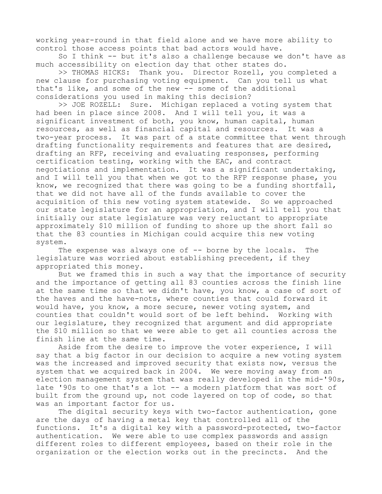working year-round in that field alone and we have more ability to control those access points that bad actors would have.

So I think -- but it's also a challenge because we don't have as much accessibility on election day that other states do.

>> THOMAS HICKS: Thank you. Director Rozell, you completed a new clause for purchasing voting equipment. Can you tell us what that's like, and some of the new -- some of the additional considerations you used in making this decision?

>> JOE ROZELL: Sure. Michigan replaced a voting system that had been in place since 2008. And I will tell you, it was a significant investment of both, you know, human capital, human resources, as well as financial capital and resources. It was a two-year process. It was part of a state committee that went through drafting functionality requirements and features that are desired, drafting an RFP, receiving and evaluating responses, performing certification testing, working with the EAC, and contract negotiations and implementation. It was a significant undertaking, and I will tell you that when we got to the RFP response phase, you know, we recognized that there was going to be a funding shortfall, that we did not have all of the funds available to cover the acquisition of this new voting system statewide. So we approached our state legislature for an appropriation, and I will tell you that initially our state legislature was very reluctant to appropriate approximately \$10 million of funding to shore up the short fall so that the 83 counties in Michigan could acquire this new voting system.

The expense was always one of -- borne by the locals. The legislature was worried about establishing precedent, if they appropriated this money.

But we framed this in such a way that the importance of security and the importance of getting all 83 counties across the finish line at the same time so that we didn't have, you know, a case of sort of the haves and the have-nots, where counties that could forward it would have, you know, a more secure, newer voting system, and counties that couldn't would sort of be left behind. Working with our legislature, they recognized that argument and did appropriate the \$10 million so that we were able to get all counties across the finish line at the same time.

Aside from the desire to improve the voter experience, I will say that a big factor in our decision to acquire a new voting system was the increased and improved security that exists now, versus the system that we acquired back in 2004. We were moving away from an election management system that was really developed in the mid-'90s, late '90s to one that's a lot -- a modern platform that was sort of built from the ground up, not code layered on top of code, so that was an important factor for us.

The digital security keys with two-factor authentication, gone are the days of having a metal key that controlled all of the functions. It's a digital key with a password-protected, two-factor authentication. We were able to use complex passwords and assign different roles to different employees, based on their role in the organization or the election works out in the precincts. And the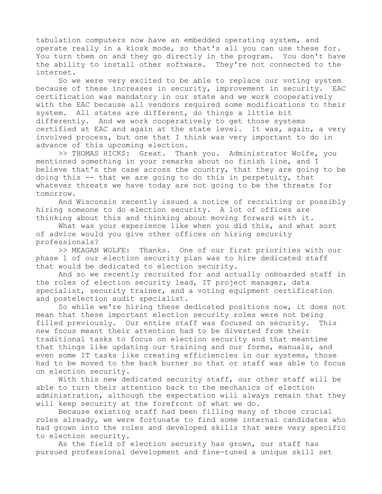tabulation computers now have an embedded operating system, and operate really in a kiosk mode, so that's all you can use these for. You turn them on and they go directly in the program. You don't have the ability to install other software. They're not connected to the internet.

So we were very excited to be able to replace our voting system because of these increases in security, improvement in security. EAC certification was mandatory in our state and we work cooperatively with the EAC because all vendors required some modifications to their system. All states are different, do things a little bit differently. And we work cooperatively to get those systems certified at EAC and again at the state level. It was, again, a very involved process, but one that I think was very important to do in advance of this upcoming election.

>> THOMAS HICKS: Great. Thank you. Administrator Wolfe, you mentioned something in your remarks about no finish line, and I believe that's the case across the country, that they are going to be doing this -- that we are going to do this in perpetuity, that whatever threats we have today are not going to be the threats for tomorrow.

And Wisconsin recently issued a notice of recruiting or possibly hiring someone to do election security. A lot of offices are thinking about this and thinking about moving forward with it.

What was your experience like when you did this, and what sort of advice would you give other offices on hiring security professionals?

>> MEAGAN WOLFE: Thanks. One of our first priorities with our phase 1 of our election security plan was to hire dedicated staff that would be dedicated to election security.

And so we recently recruited for and actually onboarded staff in the roles of election security lead, IT project manager, data specialist, security trainer, and a voting equipment certification and postelection audit specialist.

So while we're hiring these dedicated positions now, it does not mean that these important election security roles were not being filled previously. Our entire staff was focused on security. This new focus meant their attention had to be diverted from their traditional tasks to focus on election security and that meantime that things like updating our training and our forms, manuals, and even some IT tasks like creating efficiencies in our systems, those had to be moved to the back burner so that or staff was able to focus on election security.

With this new dedicated security staff, our other staff will be able to turn their attention back to the mechanics of election administration, although the expectation will always remain that they will keep security at the forefront of what we do.

Because existing staff had been filling many of those crucial roles already, we were fortunate to find some internal candidates who had grown into the roles and developed skills that were very specific to election security.

As the field of election security has grown, our staff has pursued professional development and fine-tuned a unique skill set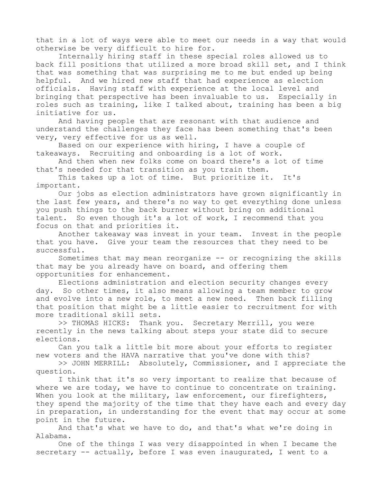that in a lot of ways were able to meet our needs in a way that would otherwise be very difficult to hire for.

Internally hiring staff in these special roles allowed us to back fill positions that utilized a more broad skill set, and I think that was something that was surprising me to me but ended up being helpful. And we hired new staff that had experience as election officials. Having staff with experience at the local level and bringing that perspective has been invaluable to us. Especially in roles such as training, like I talked about, training has been a big initiative for us.

And having people that are resonant with that audience and understand the challenges they face has been something that's been very, very effective for us as well.

Based on our experience with hiring, I have a couple of takeaways. Recruiting and onboarding is a lot of work.

And then when new folks come on board there's a lot of time that's needed for that transition as you train them.

This takes up a lot of time. But prioritize it. It's important.

Our jobs as election administrators have grown significantly in the last few years, and there's no way to get everything done unless you push things to the back burner without bring on additional talent. So even though it's a lot of work, I recommend that you focus on that and priorities it.

Another takeaway was invest in your team. Invest in the people that you have. Give your team the resources that they need to be successful.

Sometimes that may mean reorganize -- or recognizing the skills that may be you already have on board, and offering them opportunities for enhancement.

Elections administration and election security changes every day. So other times, it also means allowing a team member to grow and evolve into a new role, to meet a new need. Then back filling that position that might be a little easier to recruitment for with more traditional skill sets.

>> THOMAS HICKS: Thank you. Secretary Merrill, you were recently in the news talking about steps your state did to secure elections.

Can you talk a little bit more about your efforts to register new voters and the HAVA narrative that you've done with this?

>> JOHN MERRILL: Absolutely, Commissioner, and I appreciate the question.

I think that it's so very important to realize that because of where we are today, we have to continue to concentrate on training. When you look at the military, law enforcement, our firefighters, they spend the majority of the time that they have each and every day in preparation, in understanding for the event that may occur at some point in the future.

And that's what we have to do, and that's what we're doing in Alabama.

One of the things I was very disappointed in when I became the secretary -- actually, before I was even inaugurated, I went to a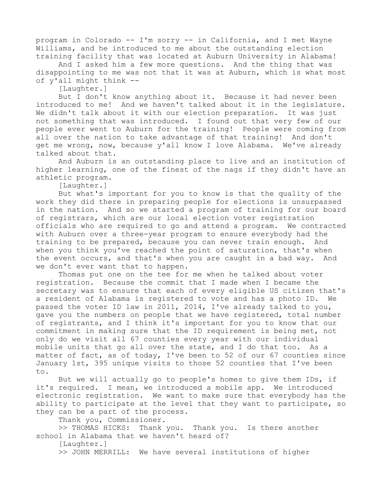program in Colorado -- I'm sorry -- in California, and I met Wayne Williams, and he introduced to me about the outstanding election training facility that was located at Auburn University in Alabama!

And I asked him a few more questions. And the thing that was disappointing to me was not that it was at Auburn, which is what most of y'all might think --

[Laughter.]

But I don't know anything about it. Because it had never been introduced to me! And we haven't talked about it in the legislature. We didn't talk about it with our election preparation. It was just not something that was introduced. I found out that very few of our people ever went to Auburn for the training! People were coming from all over the nation to take advantage of that training! And don't get me wrong, now, because y'all know I love Alabama. We've already talked about that.

And Auburn is an outstanding place to live and an institution of higher learning, one of the finest of the nags if they didn't have an athletic program.

[Laughter.]

But what's important for you to know is that the quality of the work they did there in preparing people for elections is unsurpassed in the nation. And so we started a program of training for our board of registrars, which are our local election voter registration officials who are required to go and attend a program. We contracted with Auburn over a three-year program to ensure everybody had the training to be prepared, because you can never train enough. And when you think you've reached the point of saturation, that's when the event occurs, and that's when you are caught in a bad way. And we don't ever want that to happen.

Thomas put one on the tee for me when he talked about voter registration. Because the commit that I made when I became the secretary was to ensure that each of every eligible US citizen that's a resident of Alabama is registered to vote and has a photo ID. We passed the voter ID law in 2011, 2014, I've already talked to you, gave you the numbers on people that we have registered, total number of registrants, and I think it's important for you to know that our commitment in making sure that the ID requirement is being met, not only do we visit all 67 counties every year with our individual mobile units that go all over the state, and I do that too. As a matter of fact, as of today, I've been to 52 of our 67 counties since January 1st, 395 unique visits to those 52 counties that I've been to.

But we will actually go to people's homes to give them IDs, if it's required. I mean, we introduced a mobile app. We introduced electronic registration. We want to make sure that everybody has the ability to participate at the level that they want to participate, so they can be a part of the process.

Thank you, Commissioner.

>> THOMAS HICKS: Thank you. Thank you. Is there another school in Alabama that we haven't heard of?

[Laughter.]

>> JOHN MERRILL: We have several institutions of higher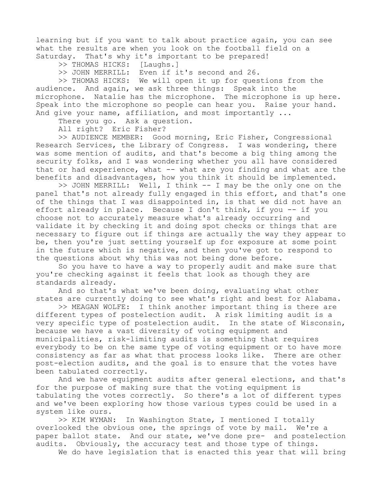learning but if you want to talk about practice again, you can see what the results are when you look on the football field on a Saturday. That's why it's important to be prepared!

>> THOMAS HICKS: [Laughs.]

>> JOHN MERRILL: Even if it's second and 26.

>> THOMAS HICKS: We will open it up for questions from the audience. And again, we ask three things: Speak into the microphone. Natalie has the microphone. The microphone is up here. Speak into the microphone so people can hear you. Raise your hand. And give your name, affiliation, and most importantly ...

There you go. Ask a question.

All right? Eric Fisher?

>> AUDIENCE MEMBER: Good morning, Eric Fisher, Congressional Research Services, the Library of Congress. I was wondering, there was some mention of audits, and that's become a big thing among the security folks, and I was wondering whether you all have considered that or had experience, what -- what are you finding and what are the benefits and disadvantages, how you think it should be implemented.

>> JOHN MERRILL: Well, I think -- I may be the only one on the panel that's not already fully engaged in this effort, and that's one of the things that I was disappointed in, is that we did not have an effort already in place. Because I don't think, if you -- if you choose not to accurately measure what's already occurring and validate it by checking it and doing spot checks or things that are necessary to figure out if things are actually the way they appear to be, then you're just setting yourself up for exposure at some point in the future which is negative, and then you've got to respond to the questions about why this was not being done before.

So you have to have a way to properly audit and make sure that you're checking against it feels that look as though they are standards already.

And so that's what we've been doing, evaluating what other states are currently doing to see what's right and best for Alabama.

>> MEAGAN WOLFE: I think another important thing is there are different types of postelection audit. A risk limiting audit is a very specific type of postelection audit. In the state of Wisconsin, because we have a vast diversity of voting equipment and municipalities, risk-limiting audits is something that requires everybody to be on the same type of voting equipment or to have more consistency as far as what that process looks like. There are other post-election audits, and the goal is to ensure that the votes have been tabulated correctly.

And we have equipment audits after general elections, and that's for the purpose of making sure that the voting equipment is tabulating the votes correctly. So there's a lot of different types and we've been exploring how those various types could be used in a system like ours.

>> KIM WYMAN: In Washington State, I mentioned I totally overlooked the obvious one, the springs of vote by mail. We're a paper ballot state. And our state, we've done pre- and postelection audits. Obviously, the accuracy test and those type of things.

We do have legislation that is enacted this year that will bring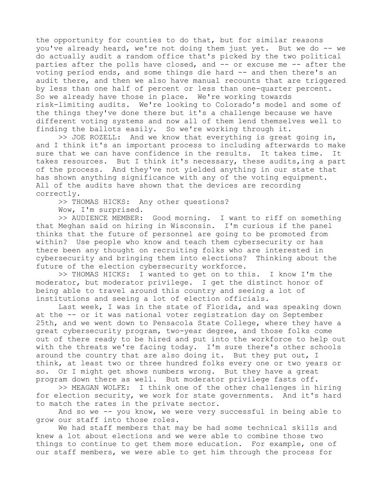the opportunity for counties to do that, but for similar reasons you've already heard, we're not doing them just yet. But we do -- we do actually audit a random office that's picked by the two political parties after the polls have closed, and -- or excuse me -- after the voting period ends, and some things die hard -- and then there's an audit there, and then we also have manual recounts that are triggered by less than one half of percent or less than one-quarter percent. So we already have those in place. We're working towards risk-limiting audits. We're looking to Colorado's model and some of the things they've done there but it's a challenge because we have different voting systems and now all of them lend themselves well to finding the ballots easily. So we're working through it.

>> JOE ROZELL: And we know that everything is great going in, and I think it's an important process to including afterwards to make sure that we can have confidence in the results. It takes time. It takes resources. But I think it's necessary, these audits,ing a part of the process. And they've not yielded anything in our state that has shown anything significance with any of the voting equipment. All of the audits have shown that the devices are recording correctly.

>> THOMAS HICKS: Any other questions?

Wow, I'm surprised.

>> AUDIENCE MEMBER: Good morning. I want to riff on something that Meghan said on hiring in Wisconsin. I'm curious if the panel thinks that the future of personnel are going to be promoted from within? Use people who know and teach them cybersecurity or has there been any thought on recruiting folks who are interested in cybersecurity and bringing them into elections? Thinking about the future of the election cybersecurity workforce.

>> THOMAS HICKS: I wanted to get on to this. I know I'm the moderator, but moderator privilege. I get the distinct honor of being able to travel around this country and seeing a lot of institutions and seeing a lot of election officials.

Last week, I was in the state of Florida, and was speaking down at the -- or it was national voter registration day on September 25th, and we went down to Pensacola State College, where they have a great cybersecurity program, two-year degree, and those folks come out of there ready to be hired and put into the workforce to help out with the threats we're facing today. I'm sure there's other schools around the country that are also doing it. But they put out, I think, at least two or three hundred folks every one or two years or so. Or I might get shows numbers wrong. But they have a great program down there as well. But moderator privilege fasts off.

>> MEAGAN WOLFE: I think one of the other challenges in hiring for election security, we work for state governments. And it's hard to match the rates in the private sector.

And so we -- you know, we were very successful in being able to grow our staff into those roles.

We had staff members that may be had some technical skills and knew a lot about elections and we were able to combine those two things to continue to get them more education. For example, one of our staff members, we were able to get him through the process for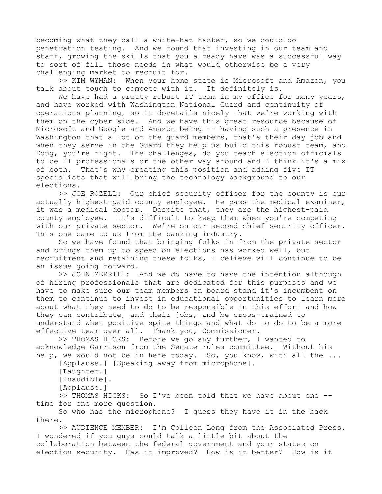becoming what they call a white-hat hacker, so we could do penetration testing. And we found that investing in our team and staff, growing the skills that you already have was a successful way to sort of fill those needs in what would otherwise be a very challenging market to recruit for.

>> KIM WYMAN: When your home state is Microsoft and Amazon, you talk about tough to compete with it. It definitely is.

We have had a pretty robust IT team in my office for many years, and have worked with Washington National Guard and continuity of operations planning, so it dovetails nicely that we're working with them on the cyber side. And we have this great resource because of Microsoft and Google and Amazon being -- having such a presence in Washington that a lot of the guard members, that's their day job and when they serve in the Guard they help us build this robust team, and Doug, you're right. The challenges, do you teach election officials to be IT professionals or the other way around and I think it's a mix of both. That's why creating this position and adding five IT specialists that will bring the technology background to our elections.

>> JOE ROZELL: Our chief security officer for the county is our actually highest-paid county employee. He pass the medical examiner, it was a medical doctor. Despite that, they are the highest-paid county employee. It's difficult to keep them when you're competing with our private sector. We're on our second chief security officer. This one came to us from the banking industry.

So we have found that bringing folks in from the private sector and brings them up to speed on elections has worked well, but recruitment and retaining these folks, I believe will continue to be an issue going forward.

>> JOHN MERRILL: And we do have to have the intention although of hiring professionals that are dedicated for this purposes and we have to make sure our team members on board stand it's incumbent on them to continue to invest in educational opportunities to learn more about what they need to do to be responsible in this effort and how they can contribute, and their jobs, and be cross-trained to understand when positive spite things and what do to do to be a more effective team over all. Thank you, Commissioner.

>> THOMAS HICKS: Before we go any further, I wanted to acknowledge Garrison from the Senate rules committee. Without his help, we would not be in here today. So, you know, with all the ...

[Applause.] [Speaking away from microphone].

[Laughter.]

[Inaudible].

[Applause.]

>> THOMAS HICKS: So I've been told that we have about one - time for one more question.

So who has the microphone? I guess they have it in the back there.

>> AUDIENCE MEMBER: I'm Colleen Long from the Associated Press. I wondered if you guys could talk a little bit about the collaboration between the federal government and your states on election security. Has it improved? How is it better? How is it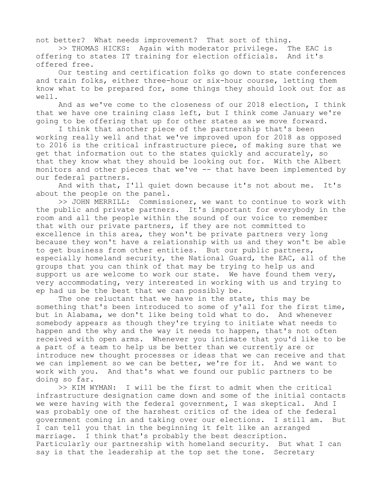not better? What needs improvement? That sort of thing.

>> THOMAS HICKS: Again with moderator privilege. The EAC is offering to states IT training for election officials. And it's offered free.

Our testing and certification folks go down to state conferences and train folks, either three-hour or six-hour course, letting them know what to be prepared for, some things they should look out for as well.

And as we've come to the closeness of our 2018 election, I think that we have one training class left, but I think come January we're going to be offering that up for other states as we move forward.

I think that another piece of the partnership that's been working really well and that we've improved upon for 2018 as opposed to 2016 is the critical infrastructure piece, of making sure that we get that information out to the states quickly and accurately, so that they know what they should be looking out for. With the Albert monitors and other pieces that we've -- that have been implemented by our federal partners.

And with that, I'll quiet down because it's not about me. It's about the people on the panel.

>> JOHN MERRILL: Commissioner, we want to continue to work with the public and private partners. It's important for everybody in the room and all the people within the sound of our voice to remember that with our private partners, if they are not committed to excellence in this area, they won't be private partners very long because they won't have a relationship with us and they won't be able to get business from other entities. But our public partners, especially homeland security, the National Guard, the EAC, all of the groups that you can think of that may be trying to help us and support us are welcome to work our state. We have found them very, very accommodating, very interested in working with us and trying to ep had us be the best that we can possibly be.

The one reluctant that we have in the state, this may be something that's been introduced to some of y'all for the first time, but in Alabama, we don't like being told what to do. And whenever somebody appears as though they're trying to initiate what needs to happen and the why and the way it needs to happen, that's not often received with open arms. Whenever you intimate that you'd like to be a part of a team to help us be better than we currently are or introduce new thought processes or ideas that we can receive and that we can implement so we can be better, we're for it. And we want to work with you. And that's what we found our public partners to be doing so far.

>> KIM WYMAN: I will be the first to admit when the critical infrastructure designation came down and some of the initial contacts we were having with the federal government, I was skeptical. And I was probably one of the harshest critics of the idea of the federal government coming in and taking over our elections. I still am. But I can tell you that in the beginning it felt like an arranged marriage. I think that's probably the best description. Particularly our partnership with homeland security. But what I can say is that the leadership at the top set the tone. Secretary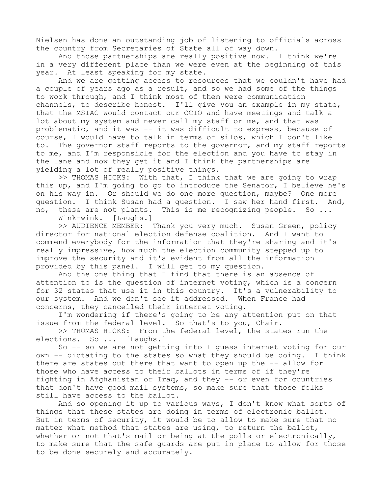Nielsen has done an outstanding job of listening to officials across the country from Secretaries of State all of way down.

And those partnerships are really positive now. I think we're in a very different place than we were even at the beginning of this year. At least speaking for my state.

And we are getting access to resources that we couldn't have had a couple of years ago as a result, and so we had some of the things to work through, and I think most of them were communication channels, to describe honest. I'll give you an example in my state, that the MSIAC would contact our OCIO and have meetings and talk a lot about my system and never call my staff or me, and that was problematic, and it was -- it was difficult to express, because of course, I would have to talk in terms of silos, which I don't like to. The governor staff reports to the governor, and my staff reports to me, and I'm responsible for the election and you have to stay in the lane and now they get it and I think the partnerships are yielding a lot of really positive things.

>> THOMAS HICKS: With that, I think that we are going to wrap this up, and I'm going to go to introduce the Senator, I believe he's on his way in. Or should we do one more question, maybe? One more question. I think Susan had a question. I saw her hand first. And, no, these are not plants. This is me recognizing people. So ...

Wink-wink. [Laughs.]

>> AUDIENCE MEMBER: Thank you very much. Susan Green, policy director for national election defense coalition. And I want to commend everybody for the information that they're sharing and it's really impressive, how much the election community stepped up to improve the security and it's evident from all the information provided by this panel. I will get to my question.

And the one thing that I find that there is an absence of attention to is the question of internet voting, which is a concern for 32 states that use it in this country. It's a vulnerability to our system. And we don't see it addressed. When France had concerns, they cancelled their internet voting.

I'm wondering if there's going to be any attention put on that issue from the federal level. So that's to you, Chair.

>> THOMAS HICKS: From the federal level, the states run the elections. So ... [Laughs.]

So -- so we are not getting into I guess internet voting for our own -- dictating to the states so what they should be doing. I think there are states out there that want to open up the -- allow for those who have access to their ballots in terms of if they're fighting in Afghanistan or Iraq, and they -- or even for countries that don't have good mail systems, so make sure that those folks still have access to the ballot.

And so opening it up to various ways, I don't know what sorts of things that these states are doing in terms of electronic ballot. But in terms of security, it would be to allow to make sure that no matter what method that states are using, to return the ballot, whether or not that's mail or being at the polls or electronically, to make sure that the safe guards are put in place to allow for those to be done securely and accurately.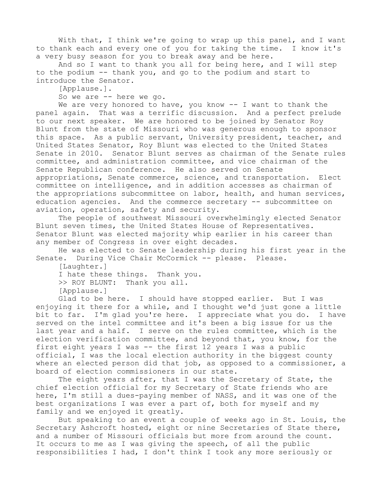With that, I think we're going to wrap up this panel, and I want to thank each and every one of you for taking the time. I know it's a very busy season for you to break away and be here.

And so I want to thank you all for being here, and I will step to the podium -- thank you, and go to the podium and start to introduce the Senator.

[Applause.].

So we are -- here we go.

We are very honored to have, you know -- I want to thank the panel again. That was a terrific discussion. And a perfect prelude to our next speaker. We are honored to be joined by Senator Roy Blunt from the state of Missouri who was generous enough to sponsor this space. As a public servant, University president, teacher, and United States Senator, Roy Blunt was elected to the United States Senate in 2010. Senator Blunt serves as chairman of the Senate rules committee, and administration committee, and vice chairman of the Senate Republican conference. He also served on Senate appropriations, Senate commerce, science, and transportation. Elect committee on intelligence, and in addition accesses as chairman of the appropriations subcommittee on labor, health, and human services, education agencies. And the commerce secretary -- subcommittee on aviation, operation, safety and security.

The people of southwest Missouri overwhelmingly elected Senator Blunt seven times, the United States House of Representatives. Senator Blunt was elected majority whip earlier in his career than any member of Congress in over eight decades.

He was elected to Senate leadership during his first year in the Senate. During Vice Chair McCormick -- please. Please.

[Laughter.]

I hate these things. Thank you.

>> ROY BLUNT: Thank you all.

[Applause.]

Glad to be here. I should have stopped earlier. But I was enjoying it there for a while, and I thought we'd just gone a little bit to far. I'm glad you're here. I appreciate what you do. I have served on the intel committee and it's been a big issue for us the last year and a half. I serve on the rules committee, which is the election verification committee, and beyond that, you know, for the first eight years I was -- the first 12 years I was a public official, I was the local election authority in the biggest county where an elected person did that job, as opposed to a commissioner, a board of election commissioners in our state.

The eight years after, that I was the Secretary of State, the chief election official for my Secretary of State friends who are here, I'm still a dues-paying member of NASS, and it was one of the best organizations I was ever a part of, both for myself and my family and we enjoyed it greatly.

But speaking to an event a couple of weeks ago in St. Louis, the Secretary Ashcroft hosted, eight or nine Secretaries of State there, and a number of Missouri officials but more from around the count. It occurs to me as I was giving the speech, of all the public responsibilities I had, I don't think I took any more seriously or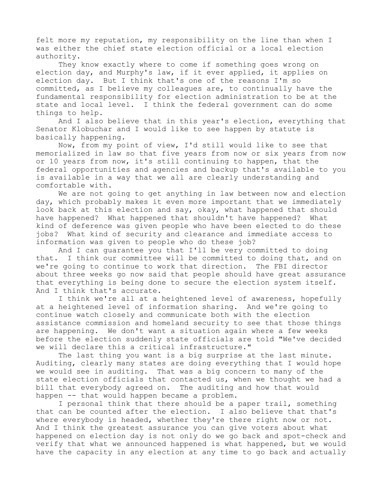felt more my reputation, my responsibility on the line than when I was either the chief state election official or a local election authority.

They know exactly where to come if something goes wrong on election day, and Murphy's law, if it ever applied, it applies on election day. But I think that's one of the reasons I'm so committed, as I believe my colleagues are, to continually have the fundamental responsibility for election administration to be at the state and local level. I think the federal government can do some things to help.

And I also believe that in this year's election, everything that Senator Klobuchar and I would like to see happen by statute is basically happening.

Now, from my point of view, I'd still would like to see that memorialized in law so that five years from now or six years from now or 10 years from now, it's still continuing to happen, that the federal opportunities and agencies and backup that's available to you is available in a way that we all are clearly understanding and comfortable with.

We are not going to get anything in law between now and election day, which probably makes it even more important that we immediately look back at this election and say, okay, what happened that should have happened? What happened that shouldn't have happened? What kind of deference was given people who have been elected to do these jobs? What kind of security and clearance and immediate access to information was given to people who do these job?

And I can guarantee you that I'll be very committed to doing that. I think our committee will be committed to doing that, and on we're going to continue to work that direction. The FBI director about three weeks go now said that people should have great assurance that everything is being done to secure the election system itself. And I think that's accurate.

I think we're all at a heightened level of awareness, hopefully at a heightened level of information sharing. And we're going to continue watch closely and communicate both with the election assistance commission and homeland security to see that those things are happening. We don't want a situation again where a few weeks before the election suddenly state officials are told "We've decided we will declare this a critical infrastructure."

The last thing you want is a big surprise at the last minute. Auditing, clearly many states are doing everything that I would hope we would see in auditing. That was a big concern to many of the state election officials that contacted us, when we thought we had a bill that everybody agreed on. The auditing and how that would happen -- that would happen became a problem.

I personal think that there should be a paper trail, something that can be counted after the election. I also believe that that's where everybody is headed, whether they're there right now or not. And I think the greatest assurance you can give voters about what happened on election day is not only do we go back and spot-check and verify that what we announced happened is what happened, but we would have the capacity in any election at any time to go back and actually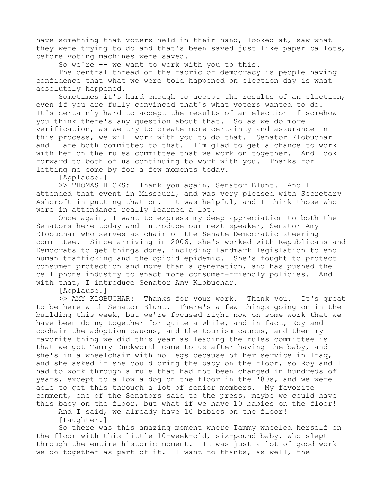have something that voters held in their hand, looked at, saw what they were trying to do and that's been saved just like paper ballots, before voting machines were saved.

So we're -- we want to work with you to this.

The central thread of the fabric of democracy is people having confidence that what we were told happened on election day is what absolutely happened.

Sometimes it's hard enough to accept the results of an election, even if you are fully convinced that's what voters wanted to do. It's certainly hard to accept the results of an election if somehow you think there's any question about that. So as we do more verification, as we try to create more certainty and assurance in this process, we will work with you to do that. Senator Klobuchar and I are both committed to that. I'm glad to get a chance to work with her on the rules committee that we work on together. And look forward to both of us continuing to work with you. Thanks for letting me come by for a few moments today.

[Applause.]

>> THOMAS HICKS: Thank you again, Senator Blunt. And I attended that event in Missouri, and was very pleased with Secretary Ashcroft in putting that on. It was helpful, and I think those who were in attendance really learned a lot.

Once again, I want to express my deep appreciation to both the Senators here today and introduce our next speaker, Senator Amy Klobuchar who serves as chair of the Senate Democratic steering committee. Since arriving in 2006, she's worked with Republicans and Democrats to get things done, including landmark legislation to end human trafficking and the opioid epidemic. She's fought to protect consumer protection and more than a generation, and has pushed the cell phone industry to enact more consumer-friendly policies. And with that, I introduce Senator Amy Klobuchar.

[Applause.]

>> AMY KLOBUCHAR: Thanks for your work. Thank you. It's great to be here with Senator Blunt. There's a few things going on in the building this week, but we're focused right now on some work that we have been doing together for quite a while, and in fact, Roy and I cochair the adoption caucus, and the tourism caucus, and then my favorite thing we did this year as leading the rules committee is that we got Tammy Duckworth came to us after having the baby, and she's in a wheelchair with no legs because of her service in Iraq, and she asked if she could bring the baby on the floor, so Roy and I had to work through a rule that had not been changed in hundreds of years, except to allow a dog on the floor in the '80s, and we were able to get this through a lot of senior members. My favorite comment, one of the Senators said to the press, maybe we could have this baby on the floor, but what if we have 10 babies on the floor!

And I said, we already have 10 babies on the floor!

[Laughter.]

So there was this amazing moment where Tammy wheeled herself on the floor with this little 10-week-old, six-pound baby, who slept through the entire historic moment. It was just a lot of good work we do together as part of it. I want to thanks, as well, the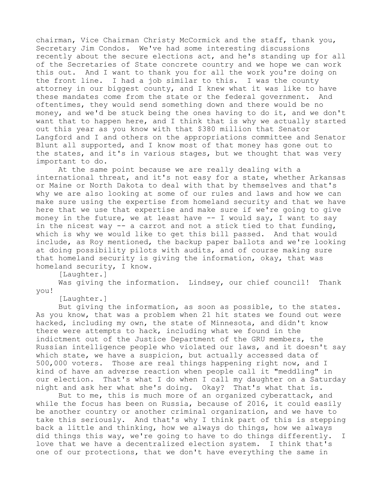chairman, Vice Chairman Christy McCormick and the staff, thank you, Secretary Jim Condos. We've had some interesting discussions recently about the secure elections act, and he's standing up for all of the Secretaries of State concrete country and we hope we can work this out. And I want to thank you for all the work you're doing on the front line. I had a job similar to this. I was the county attorney in our biggest county, and I knew what it was like to have these mandates come from the state or the federal government. And oftentimes, they would send something down and there would be no money, and we'd be stuck being the ones having to do it, and we don't want that to happen here, and I think that is why we actually started out this year as you know with that \$380 million that Senator Langford and I and others on the appropriations committee and Senator Blunt all supported, and I know most of that money has gone out to the states, and it's in various stages, but we thought that was very important to do.

At the same point because we are really dealing with a international threat, and it's not easy for a state, whether Arkansas or Maine or North Dakota to deal with that by themselves and that's why we are also looking at some of our rules and laws and how we can make sure using the expertise from homeland security and that we have here that we use that expertise and make sure if we're going to give money in the future, we at least have  $-$  I would say, I want to say in the nicest way -- a carrot and not a stick tied to that funding, which is why we would like to get this bill passed. And that would include, as Roy mentioned, the backup paper ballots and we're looking at doing possibility pilots with audits, and of course making sure that homeland security is giving the information, okay, that was homeland security, I know.

[Laughter.]

Was giving the information. Lindsey, our chief council! Thank you!

[Laughter.]

But giving the information, as soon as possible, to the states. As you know, that was a problem when 21 hit states we found out were hacked, including my own, the state of Minnesota, and didn't know there were attempts to hack, including what we found in the indictment out of the Justice Department of the GRU members, the Russian intelligence people who violated our laws, and it doesn't say which state, we have a suspicion, but actually accessed data of 500,000 voters. Those are real things happening right now, and I kind of have an adverse reaction when people call it "meddling" in our election. That's what I do when I call my daughter on a Saturday night and ask her what she's doing. Okay? That's what that is.

But to me, this is much more of an organized cyberattack, and while the focus has been on Russia, because of 2016, it could easily be another country or another criminal organization, and we have to take this seriously. And that's why I think part of this is stepping back a little and thinking, how we always do things, how we always did things this way, we're going to have to do things differently. I love that we have a decentralized election system. I think that's one of our protections, that we don't have everything the same in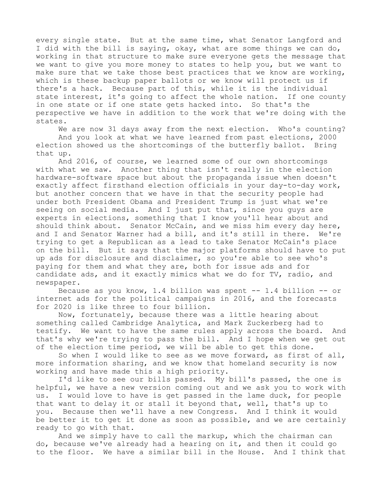every single state. But at the same time, what Senator Langford and I did with the bill is saying, okay, what are some things we can do, working in that structure to make sure everyone gets the message that we want to give you more money to states to help you, but we want to make sure that we take those best practices that we know are working, which is these backup paper ballots or we know will protect us if there's a hack. Because part of this, while it is the individual state interest, it's going to affect the whole nation. If one county in one state or if one state gets hacked into. So that's the perspective we have in addition to the work that we're doing with the states.

We are now 31 days away from the next election. Who's counting? And you look at what we have learned from past elections, 2000 election showed us the shortcomings of the butterfly ballot. Bring that up.

And 2016, of course, we learned some of our own shortcomings with what we saw. Another thing that isn't really in the election hardware-software space but about the propaganda issue when doesn't exactly affect firsthand election officials in your day-to-day work, but another concern that we have in that the security people had under both President Obama and President Trump is just what we're seeing on social media. And I just put that, since you guys are experts in elections, something that I know you'll hear about and should think about. Senator McCain, and we miss him every day here, and I and Senator Warner had a bill, and it's still in there. We're trying to get a Republican as a lead to take Senator McCain's place on the bill. But it says that the major platforms should have to put up ads for disclosure and disclaimer, so you're able to see who's paying for them and what they are, both for issue ads and for candidate ads, and it exactly mimics what we do for TV, radio, and newspaper.

Because as you know, 1.4 billion was spent -- 1.4 billion -- or internet ads for the political campaigns in 2016, and the forecasts for 2020 is like three to four billion.

Now, fortunately, because there was a little hearing about something called Cambridge Analytica, and Mark Zuckerberg had to testify. We want to have the same rules apply across the board. And that's why we're trying to pass the bill. And I hope when we get out of the election time period, we will be able to get this done.

So when I would like to see as we move forward, as first of all, more information sharing, and we know that homeland security is now working and have made this a high priority.

I'd like to see our bills passed. My bill's passed, the one is helpful, we have a new version coming out and we ask you to work with us. I would love to have is get passed in the lame duck, for people that want to delay it or stall it beyond that, well, that's up to you. Because then we'll have a new Congress. And I think it would be better it to get it done as soon as possible, and we are certainly ready to go with that.

And we simply have to call the markup, which the chairman can do, because we've already had a hearing on it, and then it could go to the floor. We have a similar bill in the House. And I think that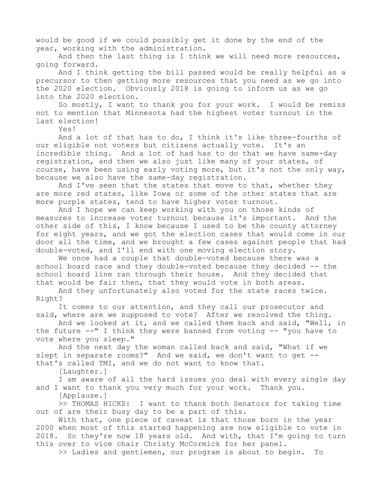would be good if we could possibly get it done by the end of the year, working with the administration.

And then the last thing is I think we will need more resources, going forward.

And I think getting the bill passed would be really helpful as a precursor to then getting more resources that you need as we go into the 2020 election. Obviously 2018 is going to inform us as we go into the 2020 election.

So mostly, I want to thank you for your work. I would be remiss not to mention that Minnesota had the highest voter turnout in the last election!

Yes!

And a lot of that has to do, I think it's like three-fourths of our eligible not voters but citizens actually vote. It's an incredible thing. And a lot of had has to do that we have same-day registration, and then we also just like many of your states, of course, have been using early voting more, but it's not the only way, because we also have the same-day registration.

And I've seen that the states that move to that, whether they are more red states, like Iowa or some of the other states that are more purple states, tend to have higher voter turnout.

And I hope we can keep working with you on those kinds of measures to increase voter turnout because it's important. And the other side of this, I know because I used to be the county attorney for eight years, and we got the election cases that would come in our door all the time, and we brought a few cases against people that had double-voted, and I'll end with one moving election story.

We once had a couple that double-voted because there was a school board race and they double-voted because they decided -- the school board line ran through their house. And they decided that that would be fair then, that they would vote in both areas.

And they unfortunately also voted for the state races twice. Right?

It comes to our attention, and they call our prosecutor and said, where are we supposed to vote? After we resolved the thing.

And we looked at it, and we called them back and said, "Well, in the future --" I think they were banned from voting -- "you have to vote where you sleep."

And the next day the woman called back and said, "What if we slept in separate rooms?" And we said, we don't want to get -that's called TMI, and we do not want to know that.

[Laughter.]

I am aware of all the hard issues you deal with every single day and I want to thank you very much for your work. Thank you.

[Applause.]

>> THOMAS HICKS: I want to thank both Senators for taking time out of are their busy day to be a part of this.

With that, one piece of caveat is that those born in the year 2000 when most of this started happening are now eligible to vote in 2018. So they're now 18 years old. And with, that I'm going to turn this over to vice chair Christy McCormick for her panel.

>> Ladies and gentlemen, our program is about to begin. To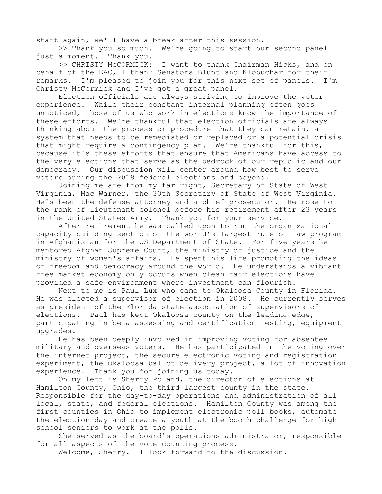start again, we'll have a break after this session.

>> Thank you so much. We're going to start our second panel just a moment. Thank you.

>> CHRISTY McCORMICK: I want to thank Chairman Hicks, and on behalf of the EAC, I thank Senators Blunt and Klobuchar for their remarks. I'm pleased to join you for this next set of panels. I'm Christy McCormick and I've got a great panel.

Election officials are always striving to improve the voter experience. While their constant internal planning often goes unnoticed, those of us who work in elections know the importance of these efforts. We're thankful that election officials are always thinking about the process or procedure that they can retain, a system that needs to be remediated or replaced or a potential crisis that might require a contingency plan. We're thankful for this, because it's these efforts that ensure that Americans have access to the very elections that serve as the bedrock of our republic and our democracy. Our discussion will center around how best to serve voters during the 2018 federal elections and beyond.

Joining me are from my far right, Secretary of State of West Virginia, Mac Warner, the 30th Secretary of State of West Virginia. He's been the defense attorney and a chief prosecutor. He rose to the rank of lieutenant colonel before his retirement after 23 years in the United States Army. Thank you for your service.

After retirement he was called upon to run the organizational capacity building section of the world's largest rule of law program in Afghanistan for the US Department of State. For five years he mentored Afghan Supreme Court, the ministry of justice and the ministry of women's affairs. He spent his life promoting the ideas of freedom and democracy around the world. He understands a vibrant free market economy only occurs when clean fair elections have provided a safe environment where investment can flourish.

Next to me is Paul Lux who came to Okaloosa County in Florida. He was elected a supervisor of election in 2008. He currently serves as president of the Florida state association of supervisors of elections. Paul has kept Okaloosa county on the leading edge, participating in beta assessing and certification testing, equipment upgrades.

He has been deeply involved in improving voting for absentee military and overseas voters. He has participated in the voting over the internet project, the secure electronic voting and registration experiment, the Okaloosa ballot delivery project, a lot of innovation experience. Thank you for joining us today.

On my left is Sherry Poland, the director of elections at Hamilton County, Ohio, the third largest county in the state. Responsible for the day-to-day operations and administration of all local, state, and federal elections. Hamilton County was among the first counties in Ohio to implement electronic poll books, automate the election day and create a youth at the booth challenge for high school seniors to work at the polls.

She served as the board's operations administrator, responsible for all aspects of the vote counting process.

Welcome, Sherry. I look forward to the discussion.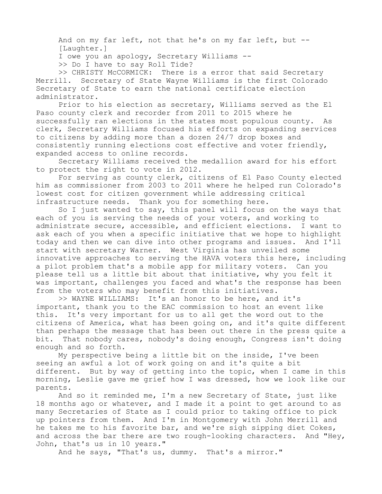And on my far left, not that he's on my far left, but -- [Laughter.]

I owe you an apology, Secretary Williams --

>> Do I have to say Roll Tide?

>> CHRISTY McCORMICK: There is a error that said Secretary Merrill. Secretary of State Wayne Williams is the first Colorado Secretary of State to earn the national certificate election administrator.

Prior to his election as secretary, Williams served as the El Paso county clerk and recorder from 2011 to 2015 where he successfully ran elections in the states most populous county. As clerk, Secretary Williams focused his efforts on expanding services to citizens by adding more than a dozen 24/7 drop boxes and consistently running elections cost effective and voter friendly, expanded access to online records.

Secretary Williams received the medallion award for his effort to protect the right to vote in 2012.

For serving as county clerk, citizens of El Paso County elected him as commissioner from 2003 to 2011 where he helped run Colorado's lowest cost for citizen government while addressing critical infrastructure needs. Thank you for something here.

So I just wanted to say, this panel will focus on the ways that each of you is serving the needs of your voters, and working to administrate secure, accessible, and efficient elections. I want to ask each of you when a specific initiative that we hope to highlight today and then we can dive into other programs and issues. And I'll start with secretary Warner. West Virginia has unveiled some innovative approaches to serving the HAVA voters this here, including a pilot problem that's a mobile app for military voters. Can you please tell us a little bit about that initiative, why you felt it was important, challenges you faced and what's the response has been from the voters who may benefit from this initiatives.

>> WAYNE WILLIAMS: It's an honor to be here, and it's important, thank you to the EAC commission to host an event like this. It's very important for us to all get the word out to the citizens of America, what has been going on, and it's quite different than perhaps the message that has been out there in the press quite a bit. That nobody cares, nobody's doing enough, Congress isn't doing enough and so forth.

My perspective being a little bit on the inside, I've been seeing an awful a lot of work going on and it's quite a bit different. But by way of getting into the topic, when I came in this morning, Leslie gave me grief how I was dressed, how we look like our parents.

And so it reminded me, I'm a new Secretary of State, just like 18 months ago or whatever, and I made it a point to get around to as many Secretaries of State as I could prior to taking office to pick up pointers from them. And I'm in Montgomery with John Merrill and he takes me to his favorite bar, and we're sigh sipping diet Cokes, and across the bar there are two rough-looking characters. And "Hey, John, that's us in 10 years."

And he says, "That's us, dummy. That's a mirror."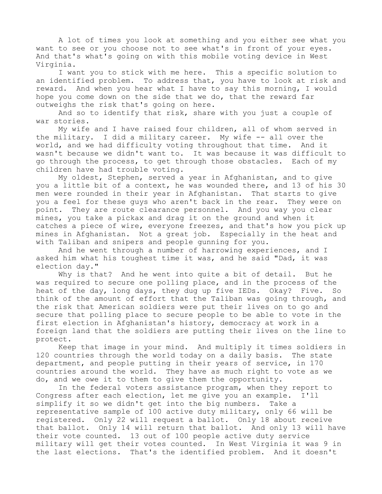A lot of times you look at something and you either see what you want to see or you choose not to see what's in front of your eyes. And that's what's going on with this mobile voting device in West Virginia.

I want you to stick with me here. This a specific solution to an identified problem. To address that, you have to look at risk and reward. And when you hear what I have to say this morning, I would hope you come down on the side that we do, that the reward far outweighs the risk that's going on here.

And so to identify that risk, share with you just a couple of war stories.

My wife and I have raised four children, all of whom served in the military. I did a military career. My wife -- all over the world, and we had difficulty voting throughout that time. And it wasn't because we didn't want to. It was because it was difficult to go through the process, to get through those obstacles. Each of my children have had trouble voting.

My oldest, Stephen, served a year in Afghanistan, and to give you a little bit of a context, he was wounded there, and 13 of his 30 men were rounded in their year in Afghanistan. That starts to give you a feel for these guys who aren't back in the rear. They were on point. They are route clearance personnel. And you way you clear mines, you take a pickax and drag it on the ground and when it catches a piece of wire, everyone freezes, and that's how you pick up mines in Afghanistan. Not a great job. Especially in the heat and with Taliban and snipers and people gunning for you.

And he went through a number of harrowing experiences, and I asked him what his toughest time it was, and he said "Dad, it was election day."

Why is that? And he went into quite a bit of detail. But he was required to secure one polling place, and in the process of the heat of the day, long days, they dug up five IEDs. Okay? Five. So think of the amount of effort that the Taliban was going through, and the risk that American soldiers were put their lives on to go and secure that polling place to secure people to be able to vote in the first election in Afghanistan's history, democracy at work in a foreign land that the soldiers are putting their lives on the line to protect.

Keep that image in your mind. And multiply it times soldiers in 120 countries through the world today on a daily basis. The state department, and people putting in their years of service, in 170 countries around the world. They have as much right to vote as we do, and we owe it to them to give them the opportunity.

In the federal voters assistance program, when they report to Congress after each election, let me give you an example. I'll simplify it so we didn't get into the big numbers. Take a representative sample of 100 active duty military, only 66 will be registered. Only 22 will request a ballot. Only 18 about receive that ballot. Only 14 will return that ballot. And only 13 will have their vote counted. 13 out of 100 people active duty service military will get their votes counted. In West Virginia it was 9 in the last elections. That's the identified problem. And it doesn't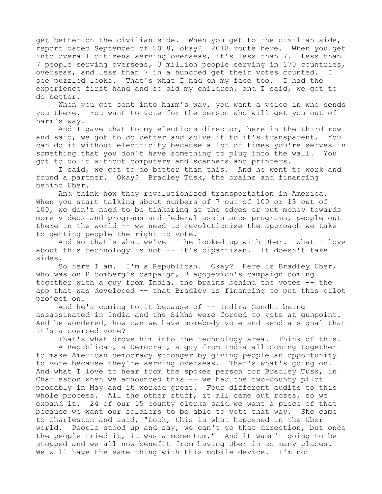get better on the civilian side. When you get to the civilian side, report dated September of 2018, okay? 2018 route here. When you get into overall citizens serving overseas, it's less than 7. Less than 7 people serving overseas, 3 million people serving in 170 countries, overseas, and less than 7 in a hundred get their votes counted. I see puzzled looks. That's what I had on my face too. I had the experience first hand and so did my children, and I said, we got to do better.

When you get sent into harm's way, you want a voice in who sends you there. You want to vote for the person who will get you out of harm's way.

And I gave that to my elections director, here in the third row and said, we got to do better and solve it to it's transparent. You can do it without electricity because a lot of times you're serves in something that you don't have something to plug into the wall. You got to do it without computers and scanners and printers.

I said, we got to do better than this. And he went to work and found a partner. Okay? Bradley Tusk, the brains and financing behind Uber.

And think how they revolutionized transportation in America. When you start talking about numbers of 7 out of 100 or 13 out of 100, we don't need to be tinkering at the edges or put money towards more videos and programs and federal assistance programs, people out there in the world -- we need to revolutionize the approach we take to getting people the right to vote.

And so that's what we've -- he looked up with Uber. What I love about this technology is not -- it's bipartisan. It doesn't take sides.

So here I am. I'm a Republican. Okay? Here is Bradley Uber, who was on Bloomberg's campaign, Blagojevich's campaign coming together with a guy from India, the brains behind the votes -- the app that was developed -- that Bradley is financing to put this pilot project on.

And he's coming to it because of -- Indira Gandhi being assassinated in India and the Sikhs were forced to vote at gunpoint. And he wondered, how can we have somebody vote and send a signal that it's a coerced vote?

That's what drove him into the technology area. Think of this.

A Republican, a Democrat, a guy from India all coming together to make American democracy stronger by giving people an opportunity to vote because they're serving overseas. That's what's going on. And what I love to hear from the spokes person for Bradley Tusk, in Charleston when we announced this -- we had the two-county pilot probably in May and it worked great. Four different audits to this whole process. All the other stuff, it all came out roses, so we expand it. 24 of our 55 county clerks said we want a piece of that because we want our soldiers to be able to vote that way. She came to Charleston and said, "Look, this is what happened in the Uber world. People stood up and say, we can't go that direction, but once the people tried it, it was a momentum." And it wasn't going to be stopped and we all now benefit from having Uber in so many places. We will have the same thing with this mobile device. I'm not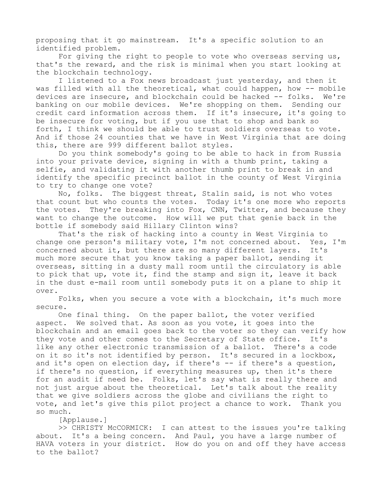proposing that it go mainstream. It's a specific solution to an identified problem.

For giving the right to people to vote who overseas serving us, that's the reward, and the risk is minimal when you start looking at the blockchain technology.

I listened to a Fox news broadcast just yesterday, and then it was filled with all the theoretical, what could happen, how -- mobile devices are insecure, and blockchain could be hacked -- folks. We're banking on our mobile devices. We're shopping on them. Sending our credit card information across them. If it's insecure, it's going to be insecure for voting, but if you use that to shop and bank so forth, I think we should be able to trust soldiers overseas to vote. And if those 24 counties that we have in West Virginia that are doing this, there are 999 different ballot styles.

Do you think somebody's going to be able to hack in from Russia into your private device, signing in with a thumb print, taking a selfie, and validating it with another thumb print to break in and identify the specific precinct ballot in the county of West Virginia to try to change one vote?

No, folks. The biggest threat, Stalin said, is not who votes that count but who counts the votes. Today it's one more who reports the votes. They're breaking into Fox, CNN, Twitter, and because they want to change the outcome. How will we put that genie back in the bottle if somebody said Hillary Clinton wins?

That's the risk of hacking into a county in West Virginia to change one person's military vote, I'm not concerned about. Yes, I'm concerned about it, but there are so many different layers. It's much more secure that you know taking a paper ballot, sending it overseas, sitting in a dusty mall room until the circulatory is able to pick that up, vote it, find the stamp and sign it, leave it back in the dust e-mail room until somebody puts it on a plane to ship it over.

Folks, when you secure a vote with a blockchain, it's much more secure.

One final thing. On the paper ballot, the voter verified aspect. We solved that. As soon as you vote, it goes into the blockchain and an email goes back to the voter so they can verify how they vote and other comes to the Secretary of State office. It's like any other electronic transmission of a ballot. There's a code on it so it's not identified by person. It's secured in a lockbox, and it's open on election day, if there's -- if there's a question, if there's no question, if everything measures up, then it's there for an audit if need be. Folks, let's say what is really there and not just argue about the theoretical. Let's talk about the reality that we give soldiers across the globe and civilians the right to vote, and let's give this pilot project a chance to work. Thank you so much.

[Applause.]

>> CHRISTY McCORMICK: I can attest to the issues you're talking about. It's a being concern. And Paul, you have a large number of HAVA voters in your district. How do you on and off they have access to the ballot?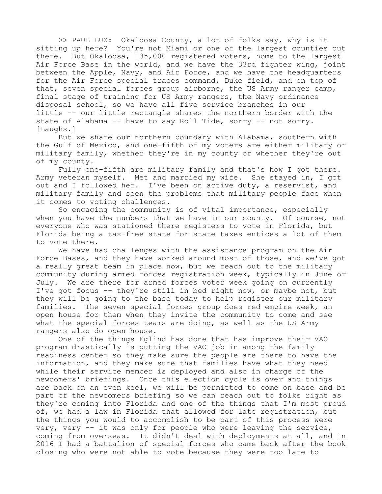>> PAUL LUX: Okaloosa County, a lot of folks say, why is it sitting up here? You're not Miami or one of the largest counties out there. But Okaloosa, 135,000 registered voters, home to the largest Air Force Base in the world, and we have the 33rd fighter wing, joint between the Apple, Navy, and Air Force, and we have the headquarters for the Air Force special traces command, Duke field, and on top of that, seven special forces group airborne, the US Army ranger camp, final stage of training for US Army rangers, the Navy ordinance disposal school, so we have all five service branches in our little -- our little rectangle shares the northern border with the state of Alabama -- have to say Roll Tide, sorry -- not sorry. [Laughs.]

But we share our northern boundary with Alabama, southern with the Gulf of Mexico, and one-fifth of my voters are either military or military family, whether they're in my county or whether they're out of my county.

Fully one-fifth are military family and that's how I got there. Army veteran myself. Met and married my wife. She stayed in, I got out and I followed her. I've been on active duty, a reservist, and military family and seen the problems that military people face when it comes to voting challenges.

So engaging the community is of vital importance, especially when you have the numbers that we have in our county. Of course, not everyone who was stationed there registers to vote in Florida, but Florida being a tax-free state for state taxes entices a lot of them to vote there.

We have had challenges with the assistance program on the Air Force Bases, and they have worked around most of those, and we've got a really great team in place now, but we reach out to the military community during armed forces registration week, typically in June or July. We are there for armed forces voter week going on currently I've got focus -- they're still in bed right now, or maybe not, but they will be going to the base today to help register our military families. The seven special forces group does red empire week, an open house for them when they invite the community to come and see what the special forces teams are doing, as well as the US Army rangers also do open house.

One of the things Eglind has done that has improve their VAO program drastically is putting the VAO job in among the family readiness center so they make sure the people are there to have the information, and they make sure that families have what they need while their service member is deployed and also in charge of the newcomers' briefings. Once this election cycle is over and things are back on an even keel, we will be permitted to come on base and be part of the newcomers briefing so we can reach out to folks right as they're coming into Florida and one of the things that I'm most proud of, we had a law in Florida that allowed for late registration, but the things you would to accomplish to be part of this process were very, very -- it was only for people who were leaving the service, coming from overseas. It didn't deal with deployments at all, and in 2016 I had a battalion of special forces who came back after the book closing who were not able to vote because they were too late to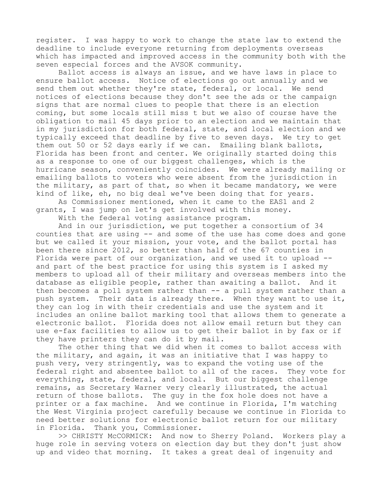register. I was happy to work to change the state law to extend the deadline to include everyone returning from deployments overseas which has impacted and improved access in the community both with the seven especial forces and the AVSOK community.

Ballot access is always an issue, and we have laws in place to ensure ballot access. Notice of elections go out annually and we send them out whether they're state, federal, or local. We send notices of elections because they don't see the ads or the campaign signs that are normal clues to people that there is an election coming, but some locals still miss t but we also of course have the obligation to mail 45 days prior to an election and we maintain that in my jurisdiction for both federal, state, and local election and we typically exceed that deadline by five to seven days. We try to get them out 50 or 52 days early if we can. Emailing blank ballots, Florida has been front and center. We originally started doing this as a response to one of our biggest challenges, which is the hurricane season, conveniently coincides. We were already mailing or emailing ballots to voters who were absent from the jurisdiction in the military, as part of that, so when it became mandatory, we were kind of like, eh, no big deal we've been doing that for years.

As Commissioner mentioned, when it came to the EAS1 and 2 grants, I was jump on let's get involved with this money.

With the federal voting assistance program.

And in our jurisdiction, we put together a consortium of 34 counties that are using -- and some of the use has come does and gone but we called it your mission, your vote, and the ballot portal has been there since 2012, so better than half of the 67 counties in Florida were part of our organization, and we used it to upload - and part of the best practice for using this system is I asked my members to upload all of their military and overseas members into the database as eligible people, rather than awaiting a ballot. And it then becomes a poll system rather than -- a pull system rather than a push system. Their data is already there. When they want to use it, they can log in with their credentials and use the system and it includes an online ballot marking tool that allows them to generate a electronic ballot. Florida does not allow email return but they can use e-fax facilities to allow us to get their ballot in by fax or if they have printers they can do it by mail.

The other thing that we did when it comes to ballot access with the military, and again, it was an initiative that I was happy to push very, very stringently, was to expand the voting use of the federal right and absentee ballot to all of the races. They vote for everything, state, federal, and local. But our biggest challenge remains, as Secretary Warner very clearly illustrated, the actual return of those ballots. The guy in the fox hole does not have a printer or a fax machine. And we continue in Florida, I'm watching the West Virginia project carefully because we continue in Florida to need better solutions for electronic ballot return for our military in Florida. Thank you, Commissioner.

>> CHRISTY McCORMICK: And now to Sherry Poland. Workers play a huge role in serving voters on election day but they don't just show up and video that morning. It takes a great deal of ingenuity and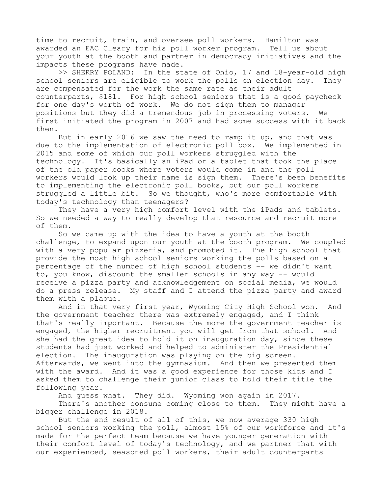time to recruit, train, and oversee poll workers. Hamilton was awarded an EAC Cleary for his poll worker program. Tell us about your youth at the booth and partner in democracy initiatives and the impacts these programs have made.

>> SHERRY POLAND: In the state of Ohio, 17 and 18-year-old high school seniors are eligible to work the polls on election day. They are compensated for the work the same rate as their adult counterparts, \$181. For high school seniors that is a good paycheck for one day's worth of work. We do not sign them to manager positions but they did a tremendous job in processing voters. We first initiated the program in 2007 and had some success with it back then.

But in early 2016 we saw the need to ramp it up, and that was due to the implementation of electronic poll box. We implemented in 2015 and some of which our poll workers struggled with the technology. It's basically an iPad or a tablet that took the place of the old paper books where voters would come in and the poll workers would look up their name is sign them. There's been benefits to implementing the electronic poll books, but our poll workers struggled a little bit. So we thought, who's more comfortable with today's technology than teenagers?

They have a very high comfort level with the iPads and tablets. So we needed a way to really develop that resource and recruit more of them.

So we came up with the idea to have a youth at the booth challenge, to expand upon our youth at the booth program. We coupled with a very popular pizzeria, and promoted it. The high school that provide the most high school seniors working the polls based on a percentage of the number of high school students -- we didn't want to, you know, discount the smaller schools in any way -- would receive a pizza party and acknowledgement on social media, we would do a press release. My staff and I attend the pizza party and award them with a plaque.

And in that very first year, Wyoming City High School won. And the government teacher there was extremely engaged, and I think that's really important. Because the more the government teacher is engaged, the higher recruitment you will get from that school. And she had the great idea to hold it on inauguration day, since these students had just worked and helped to administer the Presidential election. The inauguration was playing on the big screen. Afterwards, we went into the gymnasium. And then we presented them with the award. And it was a good experience for those kids and I asked them to challenge their junior class to hold their title the following year.

And guess what. They did. Wyoming won again in 2017.

There's another consume coming close to them. They might have a bigger challenge in 2018.

But the end result of all of this, we now average 330 high school seniors working the poll, almost 15% of our workforce and it's made for the perfect team because we have younger generation with their comfort level of today's technology, and we partner that with our experienced, seasoned poll workers, their adult counterparts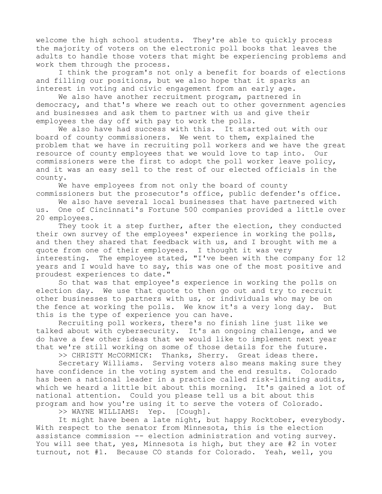welcome the high school students. They're able to quickly process the majority of voters on the electronic poll books that leaves the adults to handle those voters that might be experiencing problems and work them through the process.

I think the program's not only a benefit for boards of elections and filling our positions, but we also hope that it sparks an interest in voting and civic engagement from an early age.

We also have another recruitment program, partnered in democracy, and that's where we reach out to other government agencies and businesses and ask them to partner with us and give their employees the day off with pay to work the polls.

We also have had success with this. It started out with our board of county commissioners. We went to them, explained the problem that we have in recruiting poll workers and we have the great resource of county employees that we would love to tap into. Our commissioners were the first to adopt the poll worker leave policy, and it was an easy sell to the rest of our elected officials in the county.

We have employees from not only the board of county commissioners but the prosecutor's office, public defender's office.

We also have several local businesses that have partnered with us. One of Cincinnati's Fortune 500 companies provided a little over 20 employees.

They took it a step further, after the election, they conducted their own survey of the employees' experience in working the polls, and then they shared that feedback with us, and I brought with me a quote from one of their employees. I thought it was very interesting. The employee stated, "I've been with the company for 12 years and I would have to say, this was one of the most positive and proudest experiences to date."

So that was that employee's experience in working the polls on election day. We use that quote to then go out and try to recruit other businesses to partners with us, or individuals who may be on the fence at working the polls. We know it's a very long day. But this is the type of experience you can have.

Recruiting poll workers, there's no finish line just like we talked about with cybersecurity. It's an ongoing challenge, and we do have a few other ideas that we would like to implement next year that we're still working on some of those details for the future.

>> CHRISTY McCORMICK: Thanks, Sherry. Great ideas there.

Secretary Williams. Serving voters also means making sure they have confidence in the voting system and the end results. Colorado has been a national leader in a practice called risk-limiting audits, which we heard a little bit about this morning. It's gained a lot of national attention. Could you please tell us a bit about this program and how you're using it to serve the voters of Colorado.

>> WAYNE WILLIAMS: Yep. [Cough].

It might have been a late night, but happy Rocktober, everybody. With respect to the senator from Minnesota, this is the election assistance commission -- election administration and voting survey. You will see that, yes, Minnesota is high, but they are #2 in voter turnout, not #1. Because CO stands for Colorado. Yeah, well, you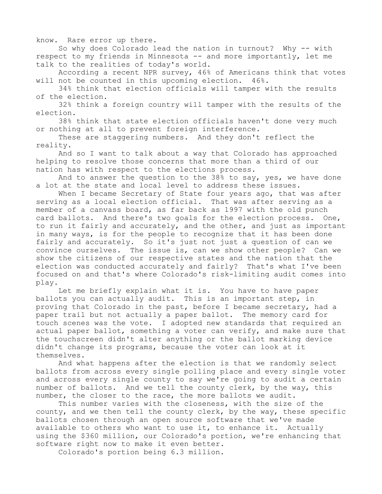know. Rare error up there.

So why does Colorado lead the nation in turnout? Why -- with respect to my friends in Minnesota -- and more importantly, let me talk to the realities of today's world.

According a recent NPR survey, 46% of Americans think that votes will not be counted in this upcoming election. 46%.

34% think that election officials will tamper with the results of the election.

32% think a foreign country will tamper with the results of the election.

38% think that state election officials haven't done very much or nothing at all to prevent foreign interference.

These are staggering numbers. And they don't reflect the reality.

And so I want to talk about a way that Colorado has approached helping to resolve those concerns that more than a third of our nation has with respect to the elections process.

And to answer the question to the 38% to say, yes, we have done a lot at the state and local level to address these issues.

When I became Secretary of State four years ago, that was after serving as a local election official. That was after serving as a member of a canvass board, as far back as 1997 with the old punch card ballots. And there's two goals for the election process. One, to run it fairly and accurately, and the other, and just as important in many ways, is for the people to recognize that it has been done fairly and accurately. So it's just not just a question of can we convince ourselves. The issue is, can we show other people? Can we show the citizens of our respective states and the nation that the election was conducted accurately and fairly? That's what I've been focused on and that's where Colorado's risk-limiting audit comes into play.

Let me briefly explain what it is. You have to have paper ballots you can actually audit. This is an important step, in proving that Colorado in the past, before I became secretary, had a paper trail but not actually a paper ballot. The memory card for touch scenes was the vote. I adopted new standards that required an actual paper ballot, something a voter can verify, and make sure that the touchscreen didn't alter anything or the ballot marking device didn't change its programs, because the voter can look at it themselves.

And what happens after the election is that we randomly select ballots from across every single polling place and every single voter and across every single county to say we're going to audit a certain number of ballots. And we tell the county clerk, by the way, this number, the closer to the race, the more ballots we audit.

This number varies with the closeness, with the size of the county, and we then tell the county clerk, by the way, these specific ballots chosen through an open source software that we've made available to others who want to use it, to enhance it. Actually using the \$360 million, our Colorado's portion, we're enhancing that software right now to make it even better.

Colorado's portion being 6.3 million.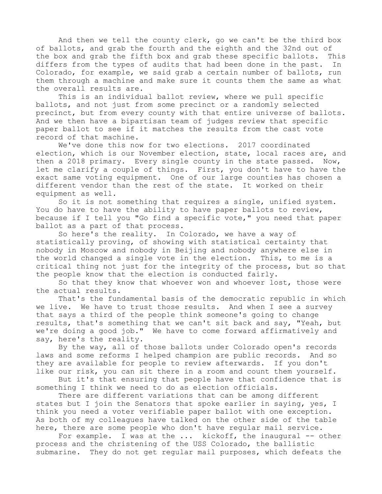And then we tell the county clerk, go we can't be the third box of ballots, and grab the fourth and the eighth and the 32nd out of the box and grab the fifth box and grab these specific ballots. This differs from the types of audits that had been done in the past. In Colorado, for example, we said grab a certain number of ballots, run them through a machine and make sure it counts them the same as what the overall results are.

This is an individual ballot review, where we pull specific ballots, and not just from some precinct or a randomly selected precinct, but from every county with that entire universe of ballots. And we then have a bipartisan team of judges review that specific paper ballot to see if it matches the results from the cast vote record of that machine.

We've done this now for two elections. 2017 coordinated election, which is our November election, state, local races are, and then a 2018 primary. Every single county in the state passed. Now, let me clarify a couple of things. First, you don't have to have the exact same voting equipment. One of our large counties has chosen a different vendor than the rest of the state. It worked on their equipment as well.

So it is not something that requires a single, unified system. You do have to have the ability to have paper ballots to review, because if I tell you "Go find a specific vote," you need that paper ballot as a part of that process.

So here's the reality. In Colorado, we have a way of statistically proving, of showing with statistical certainty that nobody in Moscow and nobody in Beijing and nobody anywhere else in the world changed a single vote in the election. This, to me is a critical thing not just for the integrity of the process, but so that the people know that the election is conducted fairly.

So that they know that whoever won and whoever lost, those were the actual results.

That's the fundamental basis of the democratic republic in which we live. We have to trust those results. And when I see a survey that says a third of the people think someone's going to change results, that's something that we can't sit back and say, "Yeah, but we're doing a good job." We have to come forward affirmatively and say, here's the reality.

By the way, all of those ballots under Colorado open's records laws and some reforms I helped champion are public records. And so they are available for people to review afterwards. If you don't like our risk, you can sit there in a room and count them yourself.

But it's that ensuring that people have that confidence that is something I think we need to do as election officials.

There are different variations that can be among different states but I join the Senators that spoke earlier in saying, yes, I think you need a voter verifiable paper ballot with one exception. As both of my colleagues have talked on the other side of the table here, there are some people who don't have regular mail service.

For example. I was at the ... kickoff, the inaugural -- other process and the christening of the USS Colorado, the ballistic submarine. They do not get regular mail purposes, which defeats the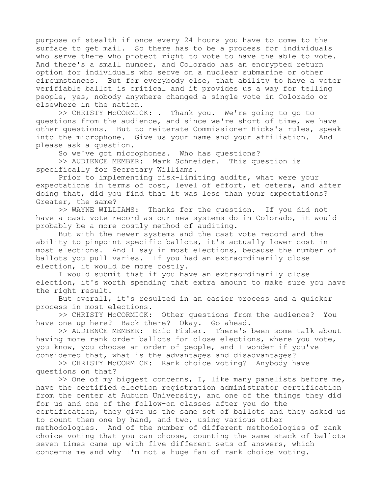purpose of stealth if once every 24 hours you have to come to the surface to get mail. So there has to be a process for individuals who serve there who protect right to vote to have the able to vote. And there's a small number, and Colorado has an encrypted return option for individuals who serve on a nuclear submarine or other circumstances. But for everybody else, that ability to have a voter verifiable ballot is critical and it provides us a way for telling people, yes, nobody anywhere changed a single vote in Colorado or elsewhere in the nation.

>> CHRISTY McCORMICK: . Thank you. We're going to go to questions from the audience, and since we're short of time, we have other questions. But to reiterate Commissioner Hicks's rules, speak into the microphone. Give us your name and your affiliation. And please ask a question.

So we've got microphones. Who has questions?

>> AUDIENCE MEMBER: Mark Schneider. This question is specifically for Secretary Williams.

Prior to implementing risk-limiting audits, what were your expectations in terms of cost, level of effort, et cetera, and after doing that, did you find that it was less than your expectations? Greater, the same?

>> WAYNE WILLIAMS: Thanks for the question. If you did not have a cast vote record as our new systems do in Colorado, it would probably be a more costly method of auditing.

But with the newer systems and the cast vote record and the ability to pinpoint specific ballots, it's actually lower cost in most elections. And I say in most elections, because the number of ballots you pull varies. If you had an extraordinarily close election, it would be more costly.

I would submit that if you have an extraordinarily close election, it's worth spending that extra amount to make sure you have the right result.

But overall, it's resulted in an easier process and a quicker process in most elections.

>> CHRISTY McCORMICK: Other questions from the audience? You have one up here? Back there? Okay. Go ahead.

>> AUDIENCE MEMBER: Eric Fisher. There's been some talk about having more rank order ballots for close elections, where you vote, you know, you choose an order of people, and I wonder if you've considered that, what is the advantages and disadvantages?

>> CHRISTY McCORMICK: Rank choice voting? Anybody have questions on that?

>> One of my biggest concerns, I, like many panelists before me, have the certified election registration administrator certification from the center at Auburn University, and one of the things they did for us and one of the follow-on classes after you do the certification, they give us the same set of ballots and they asked us to count them one by hand, and two, using various other methodologies. And of the number of different methodologies of rank choice voting that you can choose, counting the same stack of ballots seven times came up with five different sets of answers, which concerns me and why I'm not a huge fan of rank choice voting.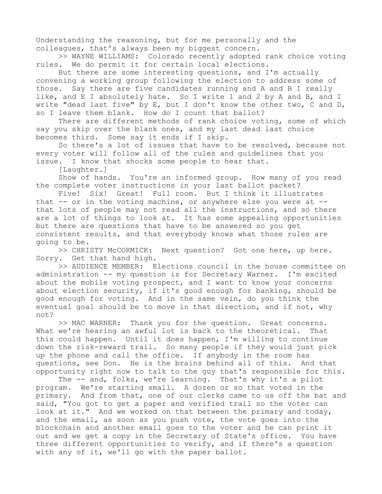Understanding the reasoning, but for me personally and the colleagues, that's always been my biggest concern.

>> WAYNE WILLIAMS: Colorado recently adopted rank choice voting rules. We do permit it for certain local elections.

But there are some interesting questions, and I'm actually convening a working group following the election to address some of those. Say there are five candidates running and A and B I really like, and E I absolutely hate. So I write 1 and 2 by A and B, and I write "dead last five" by E, but I don't know the other two, C and D, so I leave them blank. How do I count that ballot?

There are different methods of rank choice voting, some of which say you skip over the blank ones, and my last dead last choice becomes third. Some say it ends if I skip.

So there's a lot of issues that have to be resolved, because not every voter will follow all of the rules and guidelines that you issue. I know that shocks some people to hear that.

[Laughter.]

Show of hands. You're an informed group. How many of you read the complete voter instructions in your last ballot packet?

Five! Six! Great! Full room. But I think it illustrates that  $--$  or in the voting machine, or anywhere else you were at  $-$ that lots of people may not read all the instructions, and so there are a lot of things to look at. It has some appealing opportunities but there are questions that have to be answered so you get consistent results, and that everybody knows what those rules are going to be.

>> CHRISTY McCORMICK: Next question? Got one here, up here. Sorry. Get that hand high.

>> AUDIENCE MEMBER: Elections council in the house committee on administration -- my question is for Secretary Warner. I'm excited about the mobile voting prospect, and I want to know your concerns about election security, if it's good enough for banking, should be good enough for voting. And in the same vein, do you think the eventual goal should be to move in that direction, and if not, why not?

>> MAC WARNER: Thank you for the question. Great concerns. What we're hearing an awful lot is back to the theoretical. That this could happen. Until it does happen, I'm willing to continue down the risk-reward trail. So many people if they would just pick up the phone and call the office. If anybody in the room has questions, see Don. He is the brains behind all of this. And that opportunity right now to talk to the guy that's responsible for this.

The -- and, folks, we're learning. That's why it's a pilot program. We're starting small. A dozen or so that voted in the primary. And from that, one of our clerks came to us off the bat and said, "You got to get a paper and verified trail so the voter can look at it." And we worked on that between the primary and today, and the email, as soon as you push vote, the vote goes into the blockchain and another email goes to the voter and he can print it out and we get a copy in the Secretary of State's office. You have three different opportunities to verify, and if there's a question with any of it, we'll go with the paper ballot.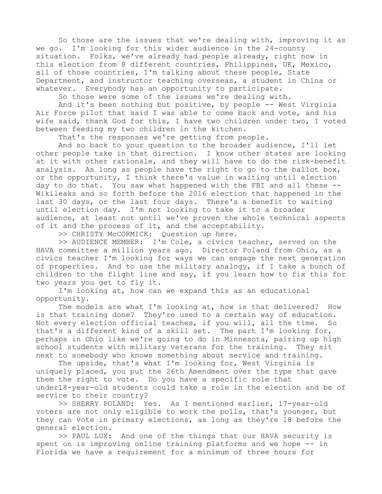So those are the issues that we're dealing with, improving it as we go. I'm looking for this wider audience in the 24-county situation. Folks, we've already had people already, right now in this election from 8 different countries, Philippines, UK, Mexico, all of those countries, I'm talking about these people, State Department, and instructor teaching overseas, a student in China or whatever. Everybody has an opportunity to participate.

So those were some of the issues we're dealing with.

And it's been nothing but positive, by people -- West Virginia Air Force pilot that said I was able to come back and vote, and his wife said, thank God for this, I have two children under two, I voted between feeding my two children in the kitchen.

That's the responses we're getting from people.

And so back to your question to the broader audience, I'll let other people take in that direction. I know other states are looking at it with other rationale, and they will have to do the risk-benefit analysis. As long as people have the right to go to the ballot box, or the opportunity, I think there's value in waiting until election day to do that. You saw what happened with the FBI and all these -- Wikileaks and so forth before the 2016 election that happened in the last 30 days, or the last four days. There's a benefit to waiting until election day. I'm not looking to take it to a broader audience, at least not until we've proven the whole technical aspects of it and the process of it, and the acceptability.

>> CHRISTY McCORMICK: Question up here.

>> AUDIENCE MEMBER: I'm Cole, a civics teacher, served on the HAVA committee a million years ago. Director Poland from Ohio, as a civics teacher I'm looking for ways we can engage the next generation of properties. And to use the military analogy, if I take a bunch of children to the flight line and say, if you learn how to fix this for two years you get to fly it.

I'm looking at, how can we expand this as an educational opportunity.

The models are what I'm looking at, how is that delivered? How is that training done? They're used to a certain way of education. Not every election official teaches, if you will, all the time. So that's a different kind of a skill set. The part I'm looking for, perhaps in Ohio like we're going to do in Minnesota, pairing up high school students with military veterans for the training. They sit next to somebody who knows something about service and training.

The upside, that's what I'm looking for, West Virginia is uniquely placed, you put the 26th Amendment over the type that gave them the right to vote. Do you have a specific role that under18-year-old students could take a role in the election and be of service to their country?

>> SHERRY POLAND: Yes. As I mentioned earlier, 17-year-old voters are not only eligible to work the polls, that's younger, but they can vote in primary elections, as long as they're 18 before the general election.

>> PAUL LUX: And one of the things that our HAVA security is spent on is improving online training platforms and we hope -- in Florida we have a requirement for a minimum of three hours for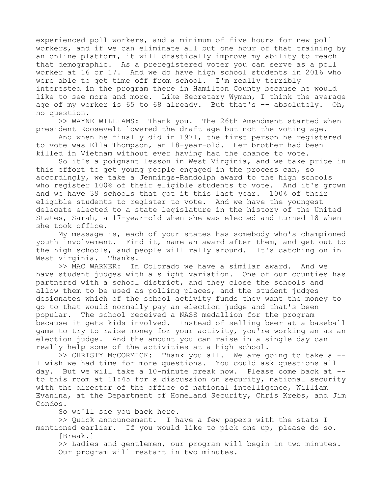experienced poll workers, and a minimum of five hours for new poll workers, and if we can eliminate all but one hour of that training by an online platform, it will drastically improve my ability to reach that demographic. As a preregistered voter you can serve as a poll worker at 16 or 17. And we do have high school students in 2016 who were able to get time off from school. I'm really terribly interested in the program there in Hamilton County because he would like to see more and more. Like Secretary Wyman, I think the average age of my worker is  $65$  to  $68$  already. But that's  $-$  absolutely. Oh, no question.

>> WAYNE WILLIAMS: Thank you. The 26th Amendment started when president Roosevelt lowered the draft age but not the voting age.

And when he finally did in 1971, the first person he registered to vote was Ella Thompson, an 18-year-old. Her brother had been killed in Vietnam without ever having had the chance to vote.

So it's a poignant lesson in West Virginia, and we take pride in this effort to get young people engaged in the process can, so accordingly, we take a Jennings-Randolph award to the high schools who register 100% of their eligible students to vote. And it's grown and we have 39 schools that got it this last year. 100% of their eligible students to register to vote. And we have the youngest delegate elected to a state legislature in the history of the United States, Sarah, a 17-year-old when she was elected and turned 18 when she took office.

My message is, each of your states has somebody who's championed youth involvement. Find it, name an award after them, and get out to the high schools, and people will rally around. It's catching on in West Virginia. Thanks.

>> MAC WARNER: In Colorado we have a similar award. And we have student judges with a slight variation. One of our counties has partnered with a school district, and they close the schools and allow them to be used as polling places, and the student judges designates which of the school activity funds they want the money to go to that would normally pay an election judge and that's been popular. The school received a NASS medallion for the program because it gets kids involved. Instead of selling beer at a baseball game to try to raise money for your activity, you're working an as an election judge. And the amount you can raise in a single day can really help some of the activities at a high school.

>> CHRISTY McCORMICK: Thank you all. We are going to take a -- I wish we had time for more questions. You could ask questions all day. But we will take a 10-minute break now. Please come back at - to this room at 11:45 for a discussion on security, national security with the director of the office of national intelligence, William Evanina, at the Department of Homeland Security, Chris Krebs, and Jim Condos.

So we'll see you back here.

>> Quick announcement. I have a few papers with the stats I mentioned earlier. If you would like to pick one up, please do so.

[Break.]

>> Ladies and gentlemen, our program will begin in two minutes. Our program will restart in two minutes.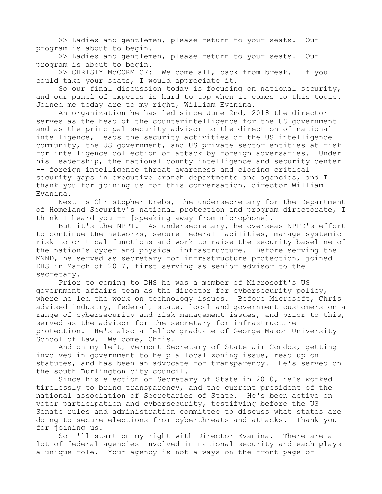>> Ladies and gentlemen, please return to your seats. Our program is about to begin.

>> Ladies and gentlemen, please return to your seats. Our program is about to begin.

>> CHRISTY McCORMICK: Welcome all, back from break. If you could take your seats, I would appreciate it.

So our final discussion today is focusing on national security, and our panel of experts is hard to top when it comes to this topic. Joined me today are to my right, William Evanina.

An organization he has led since June 2nd, 2018 the director serves as the head of the counterintelligence for the US government and as the principal security advisor to the direction of national intelligence, leads the security activities of the US intelligence community, the US government, and US private sector entities at risk for intelligence collection or attack by foreign adversaries. Under his leadership, the national county intelligence and security center -- foreign intelligence threat awareness and closing critical security gaps in executive branch departments and agencies, and I thank you for joining us for this conversation, director William Evanina.

Next is Christopher Krebs, the undersecretary for the Department of Homeland Security's national protection and program directorate, I think I heard you -- [speaking away from microphone].

But it's the NPPT. As undersecretary, he overseas NPPD's effort to continue the networks, secure federal facilities, manage systemic risk to critical functions and work to raise the security baseline of the nation's cyber and physical infrastructure. Before serving the MNND, he served as secretary for infrastructure protection, joined DHS in March of 2017, first serving as senior advisor to the secretary.

Prior to coming to DHS he was a member of Microsoft's US government affairs team as the director for cybersecurity policy, where he led the work on technology issues. Before Microsoft, Chris advised industry, federal, state, local and government customers on a range of cybersecurity and risk management issues, and prior to this, served as the advisor for the secretary for infrastructure protection. He's also a fellow graduate of George Mason University School of Law. Welcome, Chris.

And on my left, Vermont Secretary of State Jim Condos, getting involved in government to help a local zoning issue, read up on statutes, and has been an advocate for transparency. He's served on the south Burlington city council.

Since his election of Secretary of State in 2010, he's worked tirelessly to bring transparency, and the current president of the national association of Secretaries of State. He's been active on voter participation and cybersecurity, testifying before the US Senate rules and administration committee to discuss what states are doing to secure elections from cyberthreats and attacks. Thank you for joining us.

So I'll start on my right with Director Evanina. There are a lot of federal agencies involved in national security and each plays a unique role. Your agency is not always on the front page of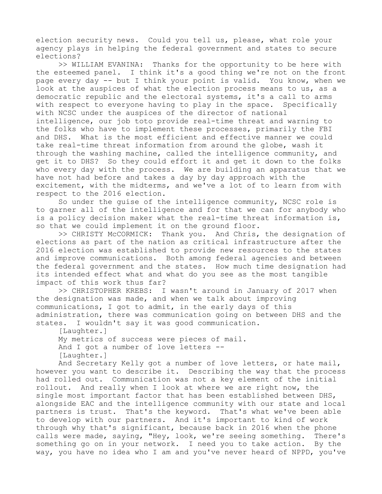election security news. Could you tell us, please, what role your agency plays in helping the federal government and states to secure elections?

>> WILLIAM EVANINA: Thanks for the opportunity to be here with the esteemed panel. I think it's a good thing we're not on the front page every day -- but I think your point is valid. You know, when we look at the auspices of what the election process means to us, as a democratic republic and the electoral systems, it's a call to arms with respect to everyone having to play in the space. Specifically with NCSC under the auspices of the director of national intelligence, our job toto provide real-time threat and warning to the folks who have to implement these processes, primarily the FBI and DHS. What is the most efficient and effective manner we could take real-time threat information from around the globe, wash it through the washing machine, called the intelligence community, and get it to DHS? So they could effort it and get it down to the folks who every day with the process. We are building an apparatus that we have not had before and takes a day by day approach with the excitement, with the midterms, and we've a lot of to learn from with respect to the 2016 election.

So under the guise of the intelligence community, NCSC role is to garner all of the intelligence and for that we can for anybody who is a policy decision maker what the real-time threat information is, so that we could implement it on the ground floor.

>> CHRISTY McCORMICK: Thank you. And Chris, the designation of elections as part of the nation as critical infrastructure after the 2016 election was established to provide new resources to the states and improve communications. Both among federal agencies and between the federal government and the states. How much time designation had its intended effect what and what do you see as the most tangible impact of this work thus far?

>> CHRISTOPHER KREBS: I wasn't around in January of 2017 when the designation was made, and when we talk about improving communications, I got to admit, in the early days of this administration, there was communication going on between DHS and the states. I wouldn't say it was good communication.

[Laughter.]

My metrics of success were pieces of mail. And I got a number of love letters -- [Laughter.]

And Secretary Kelly got a number of love letters, or hate mail, however you want to describe it. Describing the way that the process had rolled out. Communication was not a key element of the initial rollout. And really when I look at where we are right now, the single most important factor that has been established between DHS, alongside EAC and the intelligence community with our state and local partners is trust. That's the keyword. That's what we've been able to develop with our partners. And it's important to kind of work through why that's significant, because back in 2016 when the phone calls were made, saying, "Hey, look, we're seeing something. There's something go on in your network. I need you to take action. By the way, you have no idea who I am and you've never heard of NPPD, you've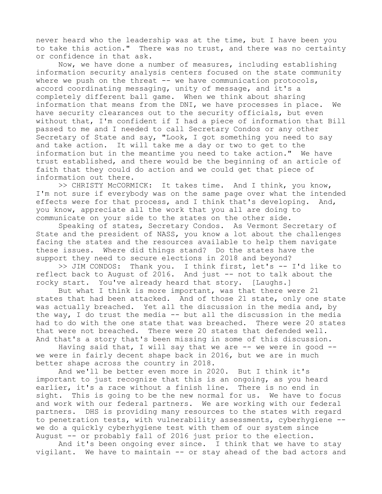never heard who the leadership was at the time, but I have been you to take this action." There was no trust, and there was no certainty or confidence in that ask.

Now, we have done a number of measures, including establishing information security analysis centers focused on the state community where we push on the threat  $--$  we have communication protocols, accord coordinating messaging, unity of message, and it's a completely different ball game. When we think about sharing information that means from the DNI, we have processes in place. We have security clearances out to the security officials, but even without that, I'm confident if I had a piece of information that Bill passed to me and I needed to call Secretary Condos or any other Secretary of State and say, "Look, I got something you need to say and take action. It will take me a day or two to get to the information but in the meantime you need to take action." We have trust established, and there would be the beginning of an article of faith that they could do action and we could get that piece of information out there.

>> CHRISTY McCORMICK: It takes time. And I think, you know, I'm not sure if everybody was on the same page over what the intended effects were for that process, and I think that's developing. And, you know, appreciate all the work that you all are doing to communicate on your side to the states on the other side.

Speaking of states, Secretary Condos. As Vermont Secretary of State and the president of NASS, you know a lot about the challenges facing the states and the resources available to help them navigate these issues. Where did things stand? Do the states have the support they need to secure elections in 2018 and beyond?

>> JIM CONDOS: Thank you. I think first, let's -- I'd like to reflect back to August of 2016. And just -- not to talk about the rocky start. You've already heard that story. [Laughs.]

But what I think is more important, was that there were 21 states that had been attacked. And of those 21 state, only one state was actually breached. Yet all the discussion in the media and, by the way, I do trust the media -- but all the discussion in the media had to do with the one state that was breached. There were 20 states that were not breached. There were 20 states that defended well. And that's a story that's been missing in some of this discussion.

Having said that, I will say that we are  $-$ - we were in good  $-$ we were in fairly decent shape back in 2016, but we are in much better shape across the country in 2018.

And we'll be better even more in 2020. But I think it's important to just recognize that this is an ongoing, as you heard earlier, it's a race without a finish line. There is no end in sight. This is going to be the new normal for us. We have to focus and work with our federal partners. We are working with our federal partners. DHS is providing many resources to the states with regard to penetration tests, with vulnerability assessments, cyberhygiene - we do a quickly cyberhygiene test with them of our system since August -- or probably fall of 2016 just prior to the election.

And it's been ongoing ever since. I think that we have to stay vigilant. We have to maintain -- or stay ahead of the bad actors and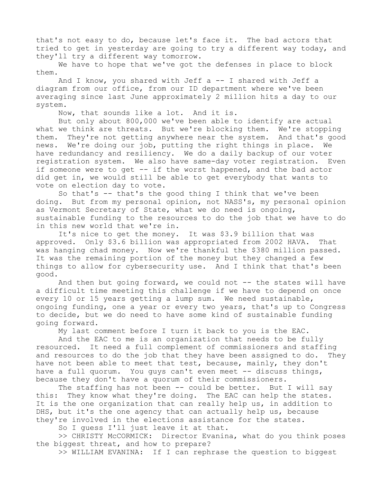that's not easy to do, because let's face it. The bad actors that tried to get in yesterday are going to try a different way today, and they'll try a different way tomorrow.

We have to hope that we've got the defenses in place to block them.

And I know, you shared with Jeff  $a - - I$  shared with Jeff a diagram from our office, from our ID department where we've been averaging since last June approximately 2 million hits a day to our system.

Now, that sounds like a lot. And it is.

But only about 800,000 we've been able to identify are actual what we think are threats. But we're blocking them. We're stopping them. They're not getting anywhere near the system. And that's good news. We're doing our job, putting the right things in place. We have redundancy and resiliency. We do a daily backup of our voter registration system. We also have same-day voter registration. Even if someone were to get -- if the worst happened, and the bad actor did get in, we would still be able to get everybody that wants to vote on election day to vote.

So that's -- that's the good thing I think that we've been doing. But from my personal opinion, not NASS's, my personal opinion as Vermont Secretary of State, what we do need is ongoing, sustainable funding to the resources to do the job that we have to do in this new world that we're in.

It's nice to get the money. It was \$3.9 billion that was approved. Only \$3.6 billion was appropriated from 2002 HAVA. That was hanging chad money. Now we're thankful the \$380 million passed. It was the remaining portion of the money but they changed a few things to allow for cybersecurity use. And I think that that's been good.

And then but going forward, we could not -- the states will have a difficult time meeting this challenge if we have to depend on once every 10 or 15 years getting a lump sum. We need sustainable, ongoing funding, one a year or every two years, that's up to Congress to decide, but we do need to have some kind of sustainable funding going forward.

My last comment before I turn it back to you is the EAC.

And the EAC to me is an organization that needs to be fully resourced. It need a full complement of commissioners and staffing and resources to do the job that they have been assigned to do. They have not been able to meet that test, because, mainly, they don't have a full quorum. You quys can't even meet -- discuss things, because they don't have a quorum of their commissioners.

The staffing has not been -- could be better. But I will say this: They know what they're doing. The EAC can help the states. It is the one organization that can really help us, in addition to DHS, but it's the one agency that can actually help us, because they're involved in the elections assistance for the states.

So I guess I'll just leave it at that.

>> CHRISTY McCORMICK: Director Evanina, what do you think poses the biggest threat, and how to prepare?

>> WILLIAM EVANINA: If I can rephrase the question to biggest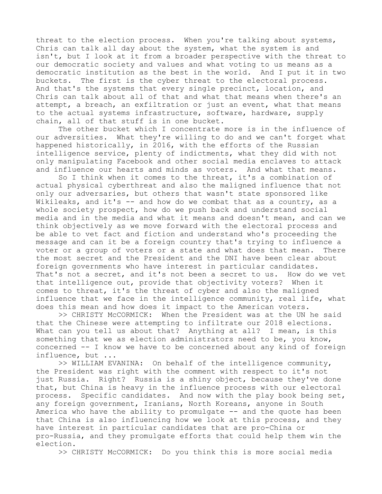threat to the election process. When you're talking about systems, Chris can talk all day about the system, what the system is and isn't, but I look at it from a broader perspective with the threat to our democratic society and values and what voting to us means as a democratic institution as the best in the world. And I put it in two buckets. The first is the cyber threat to the electoral process. And that's the systems that every single precinct, location, and Chris can talk about all of that and what that means when there's an attempt, a breach, an exfiltration or just an event, what that means to the actual systems infrastructure, software, hardware, supply chain, all of that stuff is in one bucket.

The other bucket which I concentrate more is in the influence of our adversities. What they're willing to do and we can't forget what happened historically, in 2016, with the efforts of the Russian intelligence service, plenty of indictments, what they did with not only manipulating Facebook and other social media enclaves to attack and influence our hearts and minds as voters. And what that means.

So I think when it comes to the threat, it's a combination of actual physical cyberthreat and also the maligned influence that not only our adversaries, but others that wasn't state sponsored like Wikileaks, and it's -- and how do we combat that as a country, as a whole society prospect, how do we push back and understand social media and in the media and what it means and doesn't mean, and can we think objectively as we move forward with the electoral process and be able to vet fact and fiction and understand who's proceeding the message and can it be a foreign country that's trying to influence a voter or a group of voters or a state and what does that mean. There the most secret and the President and the DNI have been clear about foreign governments who have interest in particular candidates. That's not a secret, and it's not been a secret to us. How do we vet that intelligence out, provide that objectivity voters? When it comes to threat, it's the threat of cyber and also the maligned influence that we face in the intelligence community, real life, what does this mean and how does it impact to the American voters.

>> CHRISTY McCORMICK: When the President was at the UN he said that the Chinese were attempting to infiltrate our 2018 elections. What can you tell us about that? Anything at all? I mean, is this something that we as election administrators need to be, you know, concerned -- I know we have to be concerned about any kind of foreign influence, but ...

>> WILLIAM EVANINA: On behalf of the intelligence community, the President was right with the comment with respect to it's not just Russia. Right? Russia is a shiny object, because they've done that, but China is heavy in the influence process with our electoral process. Specific candidates. And now with the play book being set, any foreign government, Iranians, North Koreans, anyone in South America who have the ability to promulgate -- and the quote has been that China is also influencing how we look at this process, and they have interest in particular candidates that are pro-China or pro-Russia, and they promulgate efforts that could help them win the election.

>> CHRISTY McCORMICK: Do you think this is more social media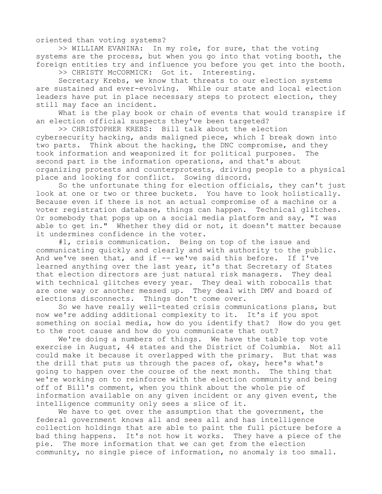oriented than voting systems?

>> WILLIAM EVANINA: In my role, for sure, that the voting systems are the process, but when you go into that voting booth, the foreign entities try and influence you before you get into the booth.

>> CHRISTY McCORMICK: Got it. Interesting.

Secretary Krebs, we know that threats to our election systems are sustained and ever-evolving. While our state and local election leaders have put in place necessary steps to protect election, they still may face an incident.

What is the play book or chain of events that would transpire if an election official suspects they've been targeted?

>> CHRISTOPHER KREBS: Bill talk about the election cybersecurity hacking, ands maligned piece, which I break down into two parts. Think about the hacking, the DNC compromise, and they took information and weaponized it for political purposes. The second part is the information operations, and that's about organizing protests and counterprotests, driving people to a physical place and looking for conflict. Sowing discord.

So the unfortunate thing for election officials, they can't just look at one or two or three buckets. You have to look holistically. Because even if there is not an actual compromise of a machine or a voter registration database, things can happen. Technical glitches. Or somebody that pops up on a social media platform and say, "I was able to get in." Whether they did or not, it doesn't matter because it undermines confidence in the voter.

#1, crisis communication. Being on top of the issue and communicating quickly and clearly and with authority to the public. And we've seen that, and if -- we've said this before. If I've learned anything over the last year, it's that Secretary of States that election directors are just natural risk managers. They deal with technical glitches every year. They deal with robocalls that are one way or another messed up. They deal with DMV and board of elections disconnects. Things don't come over.

So we have really well-tested crisis communications plans, but now we're adding additional complexity to it. It's if you spot something on social media, how do you identify that? How do you get to the root cause and how do you communicate that out?

We're doing a numbers of things. We have the table top vote exercise in August, 44 states and the District of Columbia. Not all could make it because it overlapped with the primary. But that was the drill that puts us through the paces of, okay, here's what's going to happen over the course of the next month. The thing that we're working on to reinforce with the election community and being off of Bill's comment, when you think about the whole pie of information available on any given incident or any given event, the intelligence community only sees a slice of it.

We have to get over the assumption that the government, the federal government knows all and sees all and has intelligence collection holdings that are able to paint the full picture before a bad thing happens. It's not how it works. They have a piece of the pie. The more information that we can get from the election community, no single piece of information, no anomaly is too small.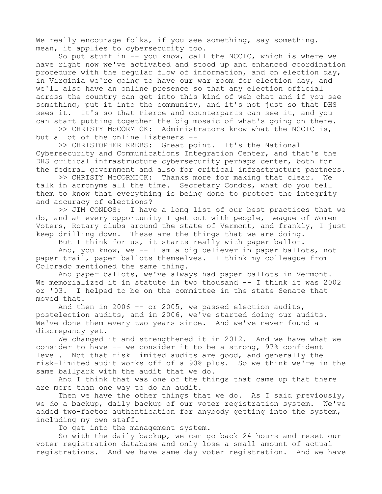We really encourage folks, if you see something, say something. I mean, it applies to cybersecurity too.

So put stuff in -- you know, call the NCCIC, which is where we have right now we've activated and stood up and enhanced coordination procedure with the regular flow of information, and on election day, in Virginia we're going to have our war room for election day, and we'll also have an online presence so that any election official across the country can get into this kind of web chat and if you see something, put it into the community, and it's not just so that DHS sees it. It's so that Pierce and counterparts can see it, and you can start putting together the big mosaic of what's going on there.

>> CHRISTY McCORMICK: Administrators know what the NCCIC is, but a lot of the online listeners --

>> CHRISTOPHER KREBS: Great point. It's the National Cybersecurity and Communications Integration Center, and that's the DHS critical infrastructure cybersecurity perhaps center, both for the federal government and also for critical infrastructure partners.

>> CHRISTY McCORMICK: Thanks more for making that clear. We talk in acronyms all the time. Secretary Condos, what do you tell them to know that everything is being done to protect the integrity and accuracy of elections?

>> JIM CONDOS: I have a long list of our best practices that we do, and at every opportunity I get out with people, League of Women Voters, Rotary clubs around the state of Vermont, and frankly, I just keep drilling down. These are the things that we are doing.

But I think for us, it starts really with paper ballot.

And, you know, we -- I am a big believer in paper ballots, not paper trail, paper ballots themselves. I think my colleague from Colorado mentioned the same thing.

And paper ballots, we've always had paper ballots in Vermont. We memorialized it in statute in two thousand -- I think it was 2002 or '03. I helped to be on the committee in the state Senate that moved that.

And then in 2006  $-$ - or 2005, we passed election audits, postelection audits, and in 2006, we've started doing our audits. We've done them every two years since. And we've never found a discrepancy yet.

We changed it and strengthened it in 2012. And we have what we consider to have -- we consider it to be a strong, 97% confident level. Not that risk limited audits are good, and generally the risk-limited audit works off of a 90% plus. So we think we're in the same ballpark with the audit that we do.

And I think that was one of the things that came up that there are more than one way to do an audit.

Then we have the other things that we do. As I said previously, we do a backup, daily backup of our voter registration system. We've added two-factor authentication for anybody getting into the system, including my own staff.

To get into the management system.

So with the daily backup, we can go back 24 hours and reset our voter registration database and only lose a small amount of actual registrations. And we have same day voter registration. And we have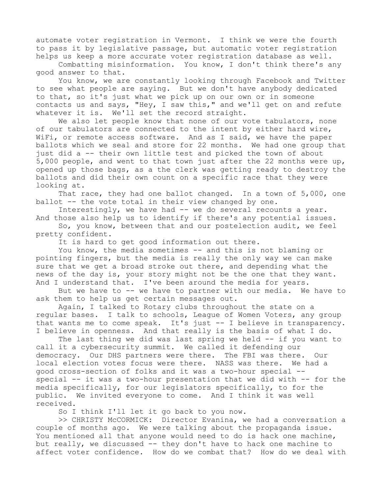automate voter registration in Vermont. I think we were the fourth to pass it by legislative passage, but automatic voter registration helps us keep a more accurate voter registration database as well.

Combatting misinformation. You know, I don't think there's any good answer to that.

You know, we are constantly looking through Facebook and Twitter to see what people are saying. But we don't have anybody dedicated to that, so it's just what we pick up on our own or in someone contacts us and says, "Hey, I saw this," and we'll get on and refute whatever it is. We'll set the record straight.

We also let people know that none of our vote tabulators, none of our tabulators are connected to the intent by either hard wire, WiFi, or remote access software. And as I said, we have the paper ballots which we seal and store for 22 months. We had one group that just did a -- their own little test and picked the town of about 5,000 people, and went to that town just after the 22 months were up, opened up those bags, as a the clerk was getting ready to destroy the ballots and did their own count on a specific race that they were looking at.

That race, they had one ballot changed. In a town of 5,000, one ballot -- the vote total in their view changed by one.

Interestingly, we have had -- we do several recounts a year. And those also help us to identify if there's any potential issues.

So, you know, between that and our postelection audit, we feel pretty confident.

It is hard to get good information out there.

You know, the media sometimes -- and this is not blaming or pointing fingers, but the media is really the only way we can make sure that we get a broad stroke out there, and depending what the news of the day is, your story might not be the one that they want. And I understand that. I've been around the media for years.

But we have to -- we have to partner with our media. We have to ask them to help us get certain messages out.

Again, I talked to Rotary clubs throughout the state on a regular bases. I talk to schools, League of Women Voters, any group that wants me to come speak. It's just -- I believe in transparency. I believe in openness. And that really is the basis of what I do.

The last thing we did was last spring we held -- if you want to call it a cybersecurity summit. We called it defending our democracy. Our DHS partners were there. The FBI was there. Our local election votes focus were there. NASS was there. We had a good cross-section of folks and it was a two-hour special - special  $-$  it was a two-hour presentation that we did with  $-$  for the media specifically, for our legislators specifically, to for the public. We invited everyone to come. And I think it was well received.

So I think I'll let it go back to you now.

>> CHRISTY McCORMICK: Director Evanina, we had a conversation a couple of months ago. We were talking about the propaganda issue. You mentioned all that anyone would need to do is hack one machine, but really, we discussed -- they don't have to hack one machine to affect voter confidence. How do we combat that? How do we deal with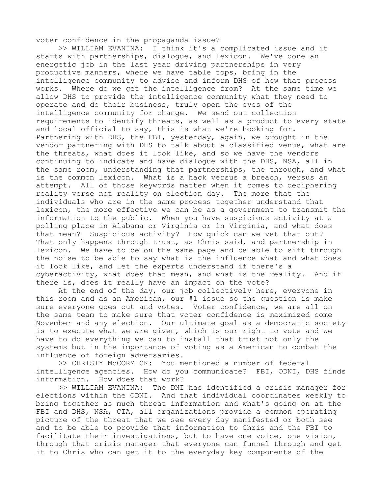voter confidence in the propaganda issue?

>> WILLIAM EVANINA: I think it's a complicated issue and it starts with partnerships, dialogue, and lexicon. We've done an energetic job in the last year driving partnerships in very productive manners, where we have table tops, bring in the intelligence community to advise and inform DHS of how that process works. Where do we get the intelligence from? At the same time we allow DHS to provide the intelligence community what they need to operate and do their business, truly open the eyes of the intelligence community for change. We send out collection requirements to identify threats, as well as a product to every state and local official to say, this is what we're hooking for. Partnering with DHS, the FBI, yesterday, again, we brought in the vendor partnering with DHS to talk about a classified venue, what are the threats, what does it look like, and so we have the vendors continuing to indicate and have dialogue with the DHS, NSA, all in the same room, understanding that partnerships, the through, and what is the common lexicon. What is a hack versus a breach, versus an attempt. All of those keywords matter when it comes to deciphering reality verse not reality on election day. The more that the individuals who are in the same process together understand that lexicon, the more effective we can be as a government to transmit the information to the public. When you have suspicious activity at a polling place in Alabama or Virginia or in Virginia, and what does that mean? Suspicious activity? How quick can we vet that out? That only happens through trust, as Chris said, and partnership in lexicon. We have to be on the same page and be able to sift through the noise to be able to say what is the influence what and what does it look like, and let the experts understand if there's a cyberactivity, what does that mean, and what is the reality. And if there is, does it really have an impact on the vote?

At the end of the day, our job collectively here, everyone in this room and as an American, our #1 issue so the question is make sure everyone goes out and votes. Voter confidence, we are all on the same team to make sure that voter confidence is maximized come November and any election. Our ultimate goal as a democratic society is to execute what we are given, which is our right to vote and we have to do everything we can to install that trust not only the systems but in the importance of voting as a American to combat the influence of foreign adversaries.

>> CHRISTY McCORMICK: You mentioned a number of federal intelligence agencies. How do you communicate? FBI, ODNI, DHS finds information. How does that work?

>> WILLIAM EVANINA: The DNI has identified a crisis manager for elections within the ODNI. And that individual coordinates weekly to bring together as much threat information and what's going on at the FBI and DHS, NSA, CIA, all organizations provide a common operating picture of the threat that we see every day manifested or both see and to be able to provide that information to Chris and the FBI to facilitate their investigations, but to have one voice, one vision, through that crisis manager that everyone can funnel through and get it to Chris who can get it to the everyday key components of the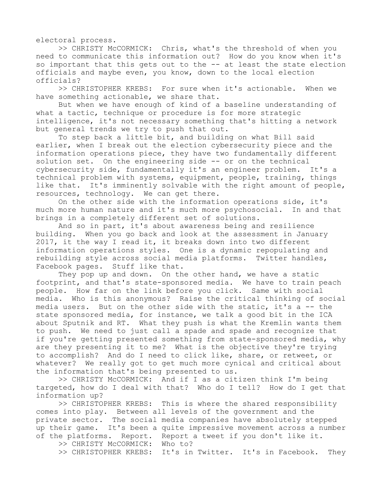electoral process.

>> CHRISTY McCORMICK: Chris, what's the threshold of when you need to communicate this information out? How do you know when it's so important that this gets out to the -- at least the state election officials and maybe even, you know, down to the local election officials?

>> CHRISTOPHER KREBS: For sure when it's actionable. When we have something actionable, we share that.

But when we have enough of kind of a baseline understanding of what a tactic, technique or procedure is for more strategic intelligence, it's not necessary something that's hitting a network but general trends we try to push that out.

To step back a little bit, and building on what Bill said earlier, when I break out the election cybersecurity piece and the information operations piece, they have two fundamentally different solution set. On the engineering side -- or on the technical cybersecurity side, fundamentally it's an engineer problem. It's a technical problem with systems, equipment, people, training, things like that. It's imminently solvable with the right amount of people, resources, technology. We can get there.

On the other side with the information operations side, it's much more human nature and it's much more psychosocial. In and that brings in a completely different set of solutions.

And so in part, it's about awareness being and resilience building. When you go back and look at the assessment in January 2017, it the way I read it, it breaks down into two different information operations styles. One is a dynamic repopulating and rebuilding style across social media platforms. Twitter handles, Facebook pages. Stuff like that.

They pop up and down. On the other hand, we have a static footprint, and that's state-sponsored media. We have to train peach people. How far on the link before you click. Same with social media. Who is this anonymous? Raise the critical thinking of social media users. But on the other side with the static, it's a -- the state sponsored media, for instance, we talk a good bit in the ICA about Sputnik and RT. What they push is what the Kremlin wants them to push. We need to just call a spade and spade and recognize that if you're getting presented something from state-sponsored media, why are they presenting it to me? What is the objective they're trying to accomplish? And do I need to click like, share, or retweet, or whatever? We really got to get much more cynical and critical about the information that's being presented to us.

>> CHRISTY McCORMICK: And if I as a citizen think I'm being targeted, how do I deal with that? Who do I tell? How do I get that information up?

>> CHRISTOPHER KREBS: This is where the shared responsibility comes into play. Between all levels of the government and the private sector. The social media companies have absolutely stepped up their game. It's been a quite impressive movement across a number of the platforms. Report. Report a tweet if you don't like it.

>> CHRISTY McCORMICK: Who to?

>> CHRISTOPHER KREBS: It's in Twitter. It's in Facebook. They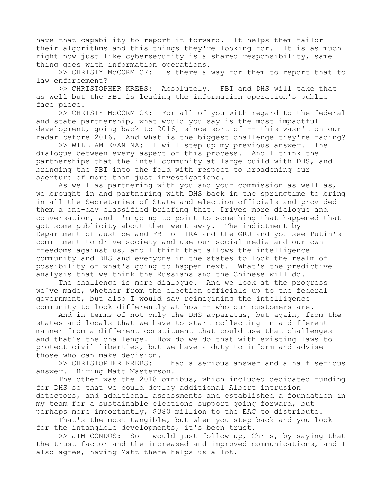have that capability to report it forward. It helps them tailor their algorithms and this things they're looking for. It is as much right now just like cybersecurity is a shared responsibility, same thing goes with information operations.

>> CHRISTY McCORMICK: Is there a way for them to report that to law enforcement?

>> CHRISTOPHER KREBS: Absolutely. FBI and DHS will take that as well but the FBI is leading the information operation's public face piece.

>> CHRISTY McCORMICK: For all of you with regard to the federal and state partnership, what would you say is the most impactful development, going back to 2016, since sort of -- this wasn't on our radar before 2016. And what is the biggest challenge they're facing?

>> WILLIAM EVANINA: I will step up my previous answer. The dialogue between every aspect of this process. And I think the partnerships that the intel community at large build with DHS, and bringing the FBI into the fold with respect to broadening our aperture of more than just investigations.

As well as partnering with you and your commission as well as, we brought in and partnering with DHS back in the springtime to bring in all the Secretaries of State and election officials and provided them a one-day classified briefing that. Drives more dialogue and conversation, and I'm going to point to something that happened that got some publicity about then went away. The indictment by Department of Justice and FBI of IRA and the GRU and you see Putin's commitment to drive society and use our social media and our own freedoms against us, and I think that allows the intelligence community and DHS and everyone in the states to look the realm of possibility of what's going to happen next. What's the predictive analysis that we think the Russians and the Chinese will do.

The challenge is more dialogue. And we look at the progress we've made, whether from the election officials up to the federal government, but also I would say reimagining the intelligence community to look differently at how -- who our customers are.

And in terms of not only the DHS apparatus, but again, from the states and locals that we have to start collecting in a different manner from a different constituent that could use that challenges and that's the challenge. How do we do that with existing laws to protect civil liberties, but we have a duty to inform and advise those who can make decision.

>> CHRISTOPHER KREBS: I had a serious answer and a half serious answer. Hiring Matt Masterson.

The other was the 2018 omnibus, which included dedicated funding for DHS so that we could deploy additional Albert intrusion detectors, and additional assessments and established a foundation in my team for a sustainable elections support going forward, but perhaps more importantly, \$380 million to the EAC to distribute.

That's the most tangible, but when you step back and you look for the intangible developments, it's been trust.

>> JIM CONDOS: So I would just follow up, Chris, by saying that the trust factor and the increased and improved communications, and I also agree, having Matt there helps us a lot.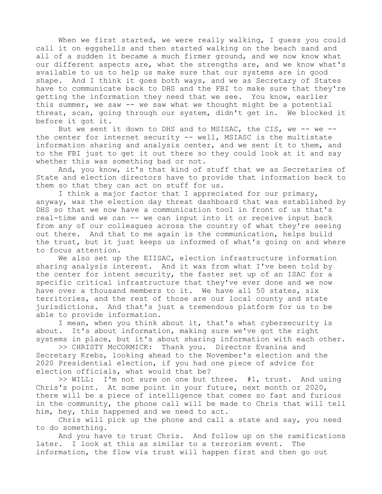When we first started, we were really walking, I guess you could call it on eggshells and then started walking on the beach sand and all of a sudden it became a much firmer ground, and we now know what our different aspects are, what the strengths are, and we know what's available to us to help us make sure that our systems are in good shape. And I think it goes both ways, and we as Secretary of States have to communicate back to DHS and the FBI to make sure that they're getting the information they need that we see. You know, earlier this summer, we saw -- we saw what we thought might be a potential threat, scan, going through our system, didn't get in. We blocked it before it got it.

But we sent it down to DHS and to MSISAC, the CIS, we -- we -the center for internet security -- well, MSIASC is the multistate information sharing and analysis center, and we sent it to them, and to the FBI just to get it out there so they could look at it and say whether this was something bad or not.

And, you know, it's that kind of stuff that we as Secretaries of State and election directors have to provide that information back to them so that they can act on stuff for us.

I think a major factor that I appreciated for our primary, anyway, was the election day threat dashboard that was established by DHS so that we now have a communication tool in front of us that's real-time and we can -- we can input into it or receive input back from any of our colleagues across the country of what they're seeing out there. And that to me again is the communication, helps build the trust, but it just keeps us informed of what's going on and where to focus attention.

We also set up the EIISAC, election infrastructure information sharing analysis interest. And it was from what I've been told by the center for intent security, the faster set up of an ISAC for a specific critical infrastructure that they've ever done and we now have over a thousand members to it. We have all 50 states, six territories, and the rest of those are our local county and state jurisdictions. And that's just a tremendous platform for us to be able to provide information.

I mean, when you think about it, that's what cybersecurity is about. It's about information, making sure we've got the right systems in place, but it's about sharing information with each other.

>> CHRISTY McCORMICK: Thank you. Director Evanina and Secretary Krebs, looking ahead to the November's election and the 2020 Presidential election, if you had one piece of advice for election officials, what would that be?

>> WILL: I'm not sure on one but three. #1, trust. And using Chris's point. At some point in your future, next month or 2020, there will be a piece of intelligence that comes so fast and furious in the community, the phone call will be made to Chris that will tell him, hey, this happened and we need to act.

Chris will pick up the phone and call a state and say, you need to do something.

And you have to trust Chris. And follow up on the ramifications later. I look at this as similar to a terrorism event. The information, the flow via trust will happen first and then go out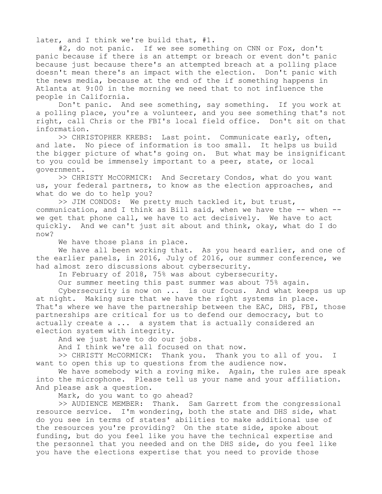later, and I think we're build that, #1.

#2, do not panic. If we see something on CNN or Fox, don't panic because if there is an attempt or breach or event don't panic because just because there's an attempted breach at a polling place doesn't mean there's an impact with the election. Don't panic with the news media, because at the end of the if something happens in Atlanta at 9:00 in the morning we need that to not influence the people in California.

Don't panic. And see something, say something. If you work at a polling place, you're a volunteer, and you see something that's not right, call Chris or the FBI's local field office. Don't sit on that information.

>> CHRISTOPHER KREBS: Last point. Communicate early, often, and late. No piece of information is too small. It helps us build the bigger picture of what's going on. But what may be insignificant to you could be immensely important to a peer, state, or local government.

>> CHRISTY McCORMICK: And Secretary Condos, what do you want us, your federal partners, to know as the election approaches, and what do we do to help you?

>> JIM CONDOS: We pretty much tackled it, but trust, communication, and I think as Bill said, when we have the -- when - we get that phone call, we have to act decisively. We have to act quickly. And we can't just sit about and think, okay, what do I do now?

We have those plans in place.

We have all been working that. As you heard earlier, and one of the earlier panels, in 2016, July of 2016, our summer conference, we had almost zero discussions about cybersecurity.

In February of 2018, 75% was about cybersecurity.

Our summer meeting this past summer was about 75% again.

Cybersecurity is now on ... is our focus. And what keeps us up at night. Making sure that we have the right systems in place. That's where we have the partnership between the EAC, DHS, FBI, those partnerships are critical for us to defend our democracy, but to actually create a ... a system that is actually considered an election system with integrity.

And we just have to do our jobs.

And I think we're all focused on that now.

>> CHRISTY McCORMICK: Thank you. Thank you to all of you. I want to open this up to questions from the audience now.

We have somebody with a roving mike. Again, the rules are speak into the microphone. Please tell us your name and your affiliation. And please ask a question.

Mark, do you want to go ahead?

>> AUDIENCE MEMBER: Thank. Sam Garrett from the congressional resource service. I'm wondering, both the state and DHS side, what do you see in terms of states' abilities to make additional use of the resources you're providing? On the state side, spoke about funding, but do you feel like you have the technical expertise and the personnel that you needed and on the DHS side, do you feel like you have the elections expertise that you need to provide those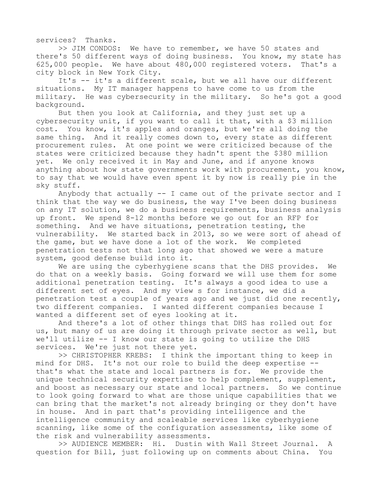services? Thanks.

>> JIM CONDOS: We have to remember, we have 50 states and there's 50 different ways of doing business. You know, my state has 625,000 people. We have about 480,000 registered voters. That's a city block in New York City.

It's -- it's a different scale, but we all have our different situations. My IT manager happens to have come to us from the military. He was cybersecurity in the military. So he's got a good background.

But then you look at California, and they just set up a cybersecurity unit, if you want to call it that, with a \$3 million cost. You know, it's apples and oranges, but we're all doing the same thing. And it really comes down to, every state as different procurement rules. At one point we were criticized because of the states were criticized because they hadn't spent the \$380 million yet. We only received it in May and June, and if anyone knows anything about how state governments work with procurement, you know, to say that we would have even spent it by now is really pie in the sky stuff.

Anybody that actually -- I came out of the private sector and I think that the way we do business, the way I've been doing business on any IT solution, we do a business requirements, business analysis up front. We spend 8-12 months before we go out for an RFP for something. And we have situations, penetration testing, the vulnerability. We started back in 2013, so we were sort of ahead of the game, but we have done a lot of the work. We completed penetration tests not that long ago that showed we were a mature system, good defense build into it.

We are using the cyberhygiene scans that the DHS provides. We do that on a weekly basis. Going forward we will use them for some additional penetration testing. It's always a good idea to use a different set of eyes. And my view s for instance, we did a penetration test a couple of years ago and we just did one recently, two different companies. I wanted different companies because I wanted a different set of eyes looking at it.

And there's a lot of other things that DHS has rolled out for us, but many of us are doing it through private sector as well, but we'll utilize -- I know our state is going to utilize the DHS services. We're just not there yet.

>> CHRISTOPHER KREBS: I think the important thing to keep in mind for DHS. It's not our role to build the deep expertise - that's what the state and local partners is for. We provide the unique technical security expertise to help complement, supplement, and boost as necessary our state and local partners. So we continue to look going forward to what are those unique capabilities that we can bring that the market's not already bringing or they don't have in house. And in part that's providing intelligence and the intelligence community and scaleable services like cyberhygiene scanning, like some of the configuration assessments, like some of the risk and vulnerability assessments.

>> AUDIENCE MEMBER: Hi. Dustin with Wall Street Journal. A question for Bill, just following up on comments about China. You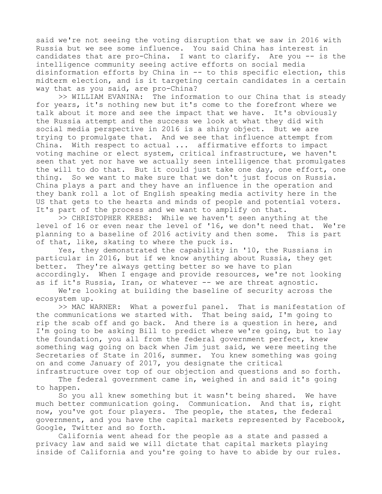said we're not seeing the voting disruption that we saw in 2016 with Russia but we see some influence. You said China has interest in candidates that are pro-China. I want to clarify. Are you -- is the intelligence community seeing active efforts on social media disinformation efforts by China in -- to this specific election, this midterm election, and is it targeting certain candidates in a certain way that as you said, are pro-China?

>> WILLIAM EVANINA: The information to our China that is steady for years, it's nothing new but it's come to the forefront where we talk about it more and see the impact that we have. It's obviously the Russia attempt and the success we look at what they did with social media perspective in 2016 is a shiny object. But we are trying to promulgate that. And we see that influence attempt from China. With respect to actual ... affirmative efforts to impact voting machine or elect system, critical infrastructure, we haven't seen that yet nor have we actually seen intelligence that promulgates the will to do that. But it could just take one day, one effort, one thing. So we want to make sure that we don't just focus on Russia. China plays a part and they have an influence in the operation and they bank roll a lot of English speaking media activity here in the US that gets to the hearts and minds of people and potential voters. It's part of the process and we want to amplify on that.

>> CHRISTOPHER KREBS: While we haven't seen anything at the level of 16 or even near the level of '16, we don't need that. We're planning to a baseline of 2016 activity and then some. This is part of that, like, skating to where the puck is.

Yes, they demonstrated the capability in '10, the Russians in particular in 2016, but if we know anything about Russia, they get better. They're always getting better so we have to plan accordingly. When I engage and provide resources, we're not looking as if it's Russia, Iran, or whatever -- we are threat agnostic.

We're looking at building the baseline of security across the ecosystem up.

>> MAC WARNER: What a powerful panel. That is manifestation of the communications we started with. That being said, I'm going to rip the scab off and go back. And there is a question in here, and I'm going to be asking Bill to predict where we're going, but to lay the foundation, you all from the federal government perfect, knew something wag going on back when Jim just said, we were meeting the Secretaries of State in 2016, summer. You knew something was going on and come January of 2017, you designate the critical

infrastructure over top of our objection and questions and so forth. The federal government came in, weighed in and said it's going to happen.

So you all knew something but it wasn't being shared. We have much better communication going. Communication. And that is, right now, you've got four players. The people, the states, the federal government, and you have the capital markets represented by Facebook, Google, Twitter and so forth.

California went ahead for the people as a state and passed a privacy law and said we will dictate that capital markets playing inside of California and you're going to have to abide by our rules.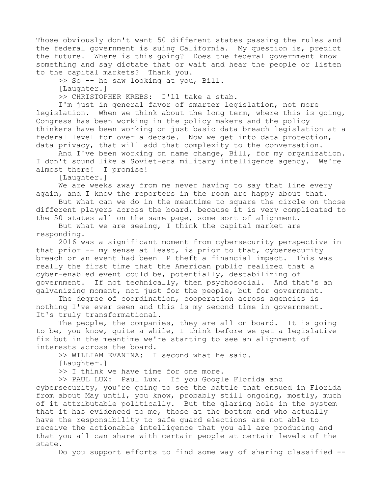Those obviously don't want 50 different states passing the rules and the federal government is suing California. My question is, predict the future. Where is this going? Does the federal government know something and say dictate that or wait and hear the people or listen to the capital markets? Thank you.

>> So -- he saw looking at you, Bill.

[Laughter.]

>> CHRISTOPHER KREBS: I'll take a stab.

I'm just in general favor of smarter legislation, not more legislation. When we think about the long term, where this is going, Congress has been working in the policy makers and the policy thinkers have been working on just basic data breach legislation at a federal level for over a decade. Now we get into data protection, data privacy, that will add that complexity to the conversation.

And I've been working on name change, Bill, for my organization. I don't sound like a Soviet-era military intelligence agency. We're almost there! I promise!

[Laughter.]

We are weeks away from me never having to say that line every again, and I know the reporters in the room are happy about that.

But what can we do in the meantime to square the circle on those different players across the board, because it is very complicated to the 50 states all on the same page, some sort of alignment.

But what we are seeing, I think the capital market are responding.

2016 was a significant moment from cybersecurity perspective in that prior -- my sense at least, is prior to that, cybersecurity breach or an event had been IP theft a financial impact. This was really the first time that the American public realized that a cyber-enabled event could be, potentially, destabilizing of government. If not technically, then psychosocial. And that's an galvanizing moment, not just for the people, but for government.

The degree of coordination, cooperation across agencies is nothing I've ever seen and this is my second time in government. It's truly transformational.

The people, the companies, they are all on board. It is going to be, you know, quite a while, I think before we get a legislative fix but in the meantime we're starting to see an alignment of interests across the board.

>> WILLIAM EVANINA: I second what he said.

[Laughter.]

>> I think we have time for one more.

>> PAUL LUX: Paul Lux. If you Google Florida and

cybersecurity, you're going to see the battle that ensued in Florida from about May until, you know, probably still ongoing, mostly, much of it attributable politically. But the glaring hole in the system that it has evidenced to me, those at the bottom end who actually have the responsibility to safe guard elections are not able to receive the actionable intelligence that you all are producing and that you all can share with certain people at certain levels of the state.

Do you support efforts to find some way of sharing classified --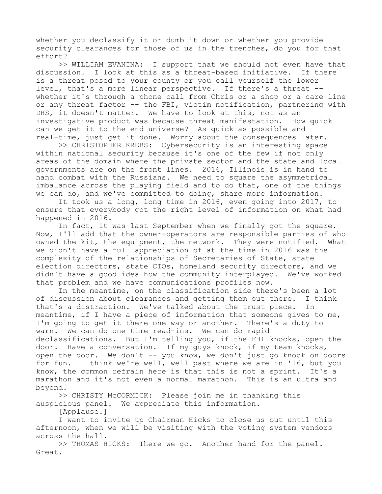whether you declassify it or dumb it down or whether you provide security clearances for those of us in the trenches, do you for that effort?

>> WILLIAM EVANINA: I support that we should not even have that discussion. I look at this as a threat-based initiative. If there is a threat posed to your county or you call yourself the lower level, that's a more linear perspective. If there's a threat - whether it's through a phone call from Chris or a shop or a care line or any threat factor -- the FBI, victim notification, partnering with DHS, it doesn't matter. We have to look at this, not as an investigative product was because threat manifestation. How quick can we get it to the end universe? As quick as possible and real-time, just get it done. Worry about the consequences later.

>> CHRISTOPHER KREBS: Cybersecurity is an interesting space within national security because it's one of the few if not only areas of the domain where the private sector and the state and local governments are on the front lines. 2016, Illinois is in hand to hand combat with the Russians. We need to square the asymmetrical imbalance across the playing field and to do that, one of the things we can do, and we've committed to doing, share more information.

It took us a long, long time in 2016, even going into 2017, to ensure that everybody got the right level of information on what had happened in 2016.

In fact, it was last September when we finally got the square. Now, I'll add that the owner-operators are responsible parties of who owned the kit, the equipment, the network. They were notified. What we didn't have a full appreciation of at the time in 2016 was the complexity of the relationships of Secretaries of State, state election directors, state CIOs, homeland security directors, and we didn't have a good idea how the community interplayed. We've worked that problem and we have communications profiles now.

In the meantime, on the classification side there's been a lot of discussion about clearances and getting them out there. I think that's a distraction. We've talked about the trust piece. In meantime, if I have a piece of information that someone gives to me, I'm going to get it there one way or another. There's a duty to warn. We can do one time read-ins. We can do rapid declassifications. But I'm telling you, if the FBI knocks, open the door. Have a conversation. If my guys knock, if my team knocks, open the door. We don't -- you know, we don't just go knock on doors for fun. I think we're well, well past where we are in '16, but you know, the common refrain here is that this is not a sprint. It's a marathon and it's not even a normal marathon. This is an ultra and beyond.

>> CHRISTY McCORMICK: Please join me in thanking this auspicious panel. We appreciate this information.

[Applause.]

I want to invite up Chairman Hicks to close us out until this afternoon, when we will be visiting with the voting system vendors across the hall.

>> THOMAS HICKS: There we go. Another hand for the panel. Great.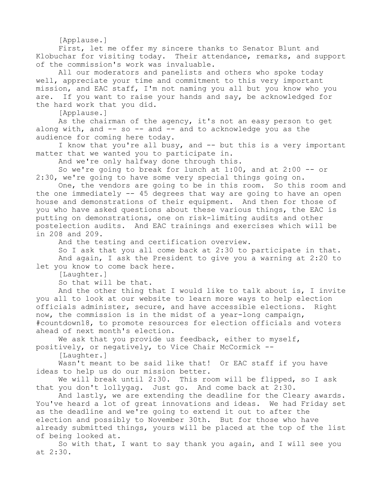[Applause.]

First, let me offer my sincere thanks to Senator Blunt and Klobuchar for visiting today. Their attendance, remarks, and support of the commission's work was invaluable.

All our moderators and panelists and others who spoke today well, appreciate your time and commitment to this very important mission, and EAC staff, I'm not naming you all but you know who you are. If you want to raise your hands and say, be acknowledged for the hard work that you did.

[Applause.]

As the chairman of the agency, it's not an easy person to get along with, and -- so -- and -- and to acknowledge you as the audience for coming here today.

I know that you're all busy, and -- but this is a very important matter that we wanted you to participate in.

And we're only halfway done through this.

So we're going to break for lunch at 1:00, and at 2:00 -- or 2:30, we're going to have some very special things going on.

One, the vendors are going to be in this room. So this room and the one immediately -- 45 degrees that way are going to have an open house and demonstrations of their equipment. And then for those of you who have asked questions about these various things, the EAC is putting on demonstrations, one on risk-limiting audits and other postelection audits. And EAC trainings and exercises which will be in 208 and 209.

And the testing and certification overview.

So I ask that you all come back at 2:30 to participate in that. And again, I ask the President to give you a warning at 2:20 to let you know to come back here.

[Laughter.]

So that will be that.

And the other thing that I would like to talk about is, I invite you all to look at our website to learn more ways to help election officials administer, secure, and have accessible elections. Right now, the commission is in the midst of a year-long campaign, #countdown18, to promote resources for election officials and voters ahead of next month's election.

We ask that you provide us feedback, either to myself, positively, or negatively, to Vice Chair McCormick --

[Laughter.]

Wasn't meant to be said like that! Or EAC staff if you have ideas to help us do our mission better.

We will break until 2:30. This room will be flipped, so I ask that you don't lollygag. Just go. And come back at 2:30.

And lastly, we are extending the deadline for the Cleary awards. You've heard a lot of great innovations and ideas. We had Friday set as the deadline and we're going to extend it out to after the election and possibly to November 30th. But for those who have already submitted things, yours will be placed at the top of the list of being looked at.

So with that, I want to say thank you again, and I will see you at 2:30.